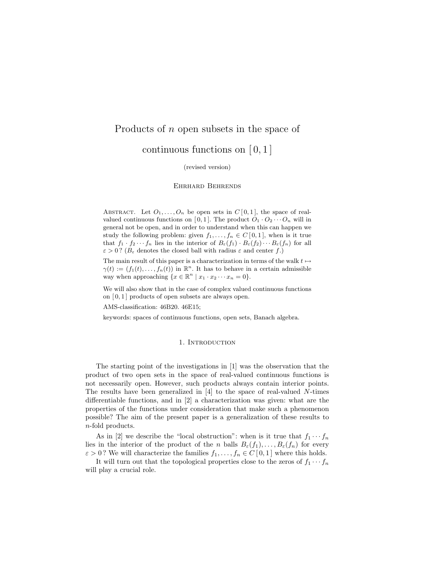# Products of n open subsets in the space of

continuous functions on  $[0,1]$ 

(revised version)

#### Ehrhard Behrends

ABSTRACT. Let  $O_1, \ldots, O_n$  be open sets in  $C[0,1]$ , the space of realvalued continuous functions on [0, 1]. The product  $O_1 \cdot O_2 \cdots O_n$  will in general not be open, and in order to understand when this can happen we study the following problem: given  $f_1, \ldots, f_n \in C[0,1]$ , when is it true that  $f_1 \cdot f_2 \cdots f_n$  lies in the interior of  $B_\varepsilon(f_1) \cdot B_\varepsilon(f_2) \cdots B_\varepsilon(f_n)$  for all  $\varepsilon > 0$ ? ( $B_{\varepsilon}$  denotes the closed ball with radius  $\varepsilon$  and center f.)

The main result of this paper is a characterization in terms of the walk  $t \mapsto$  $\gamma(t) := (f_1(t), \ldots, f_n(t))$  in  $\mathbb{R}^n$ . It has to behave in a certain admissible way when approaching  $\{x \in \mathbb{R}^n \mid x_1 \cdot x_2 \cdots x_n = 0\}.$ 

We will also show that in the case of complex valued continuous functions on  $[0, 1]$  products of open subsets are always open.

AMS-classification: 46B20. 46E15;

keywords: spaces of continuous functions, open sets, Banach algebra.

#### 1. INTRODUCTION

The starting point of the investigations in [1] was the observation that the product of two open sets in the space of real-valued continuous functions is not necessarily open. However, such products always contain interior points. The results have been generalized in  $[4]$  to the space of real-valued N-times differentiable functions, and in [2] a characterization was given: what are the properties of the functions under consideration that make such a phenomenon possible? The aim of the present paper is a generalization of these results to n-fold products.

As in [2] we describe the "local obstruction": when is it true that  $f_1 \cdots f_n$ lies in the interior of the product of the n balls  $B_{\varepsilon}(f_1), \ldots, B_{\varepsilon}(f_n)$  for every  $\varepsilon > 0$ ? We will characterize the families  $f_1, \ldots, f_n \in C[0,1]$  where this holds.

It will turn out that the topological properties close to the zeros of  $f_1 \cdots f_n$ will play a crucial role.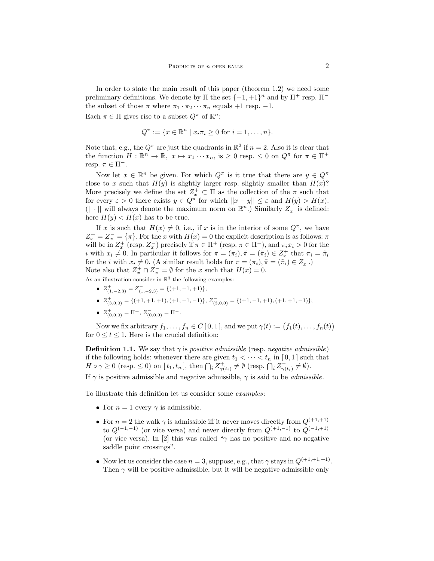In order to state the main result of this paper (theorem 1.2) we need some preliminary definitions. We denote by  $\Pi$  the set  $\{-1, +1\}^n$  and by  $\Pi^+$  resp.  $\Pi^$ the subset of those  $\pi$  where  $\pi_1 \cdot \pi_2 \cdots \pi_n$  equals +1 resp. -1.

Each  $\pi \in \Pi$  gives rise to a subset  $Q^{\pi}$  of  $\mathbb{R}^{n}$ :

$$
Q^{\pi} := \{ x \in \mathbb{R}^n \mid x_i \pi_i \ge 0 \text{ for } i = 1, ..., n \}.
$$

Note that, e.g., the  $Q^{\pi}$  are just the quadrants in  $\mathbb{R}^2$  if  $n = 2$ . Also it is clear that the function  $H: \mathbb{R}^n \to \mathbb{R}, x \mapsto x_1 \cdots x_n$ , is  $\geq 0$  resp.  $\leq 0$  on  $Q^{\pi}$  for  $\pi \in \Pi^+$ resp.  $\pi \in \Pi^-$ .

Now let  $x \in \mathbb{R}^n$  be given. For which  $Q^{\pi}$  is it true that there are  $y \in Q^{\pi}$ close to x such that  $H(y)$  is slightly larger resp. slightly smaller than  $H(x)$ ? More precisely we define the set  $Z_x^+ \subset \Pi$  as the collection of the  $\pi$  such that for every  $\varepsilon > 0$  there exists  $y \in Q^{\pi}$  for which  $||x - y|| \leq \varepsilon$  and  $H(y) > H(x)$ . (|| · || will always denote the maximum norm on  $\mathbb{R}^n$ .) Similarly  $Z_x^-$  is defined: here  $H(y) < H(x)$  has to be true.

If x is such that  $H(x) \neq 0$ , i.e., if x is in the interior of some  $Q^{\pi}$ , we have  $Z_x^+ = Z_x^- = {\pi}$ . For the x with  $H(x) = 0$  the explicit description is as follows:  $\pi$ will be in  $Z_x^+$  (resp.  $Z_x^-$ ) precisely if  $\pi \in \Pi^+$  (resp.  $\pi \in \Pi^-$ ), and  $\pi_i x_i > 0$  for the *i* with  $x_i \neq 0$ . In particular it follows for  $\pi = (\pi_i)$ ,  $\tilde{\pi} = (\tilde{\pi}_i) \in Z_x^+$  that  $\pi_i = \tilde{\pi}_i$ for the *i* with  $x_i \neq 0$ . (A similar result holds for  $\pi = (\pi_i), \tilde{\pi} = (\tilde{\pi}_i) \in Z_{\tilde{x}}^-$ .) Note also that  $Z_x^+ \cap Z_x^- = \emptyset$  for the x such that  $H(x) = 0$ .

- As an illustration consider in  $\mathbb{R}^3$  the following examples:
	- $Z^+_{(1,-2,3)} = Z^-_{(1,-2,3)} = \{(+1,-1,+1)\};$
	- $Z^+_{(3,0,0)} = \{(+1,+1,+1), (+1,-1,-1)\}, Z^-_{(3,0,0)} = \{(+1,-1,+1), (+1,+1,-1)\};$
	- $Z_{(0,0,0)}^{+} = \Pi^{+}, Z_{(0,0,0)}^{-} = \Pi^{-}.$

Now we fix arbitrary  $f_1, \ldots, f_n \in C[0,1]$ , and we put  $\gamma(t) := (f_1(t), \ldots, f_n(t))$ for  $0 \le t \le 1$ . Here is the crucial definition:

**Definition 1.1.** We say that  $\gamma$  is *positive admissible* (resp. *negative admissible*) if the following holds: whenever there are given  $t_1 < \cdots < t_n$  in [0,1] such that  $H \circ \gamma \ge 0$  (resp.  $\le 0$ ) on  $[t_1, t_n]$ , then  $\bigcap_i Z^+_{\gamma(t_i)} \ne \emptyset$  (resp.  $\bigcap_i Z^-_{\gamma(t_i)} \ne \emptyset$ ).

If  $\gamma$  is positive admissible and negative admissible,  $\gamma$  is said to be *admissible*.

To illustrate this definition let us consider some examples:

- For  $n = 1$  every  $\gamma$  is admissible.
- For  $n = 2$  the walk  $\gamma$  is admissible iff it never moves directly from  $Q^{(+1,+1)}$ to  $Q^{(-1,-1)}$  (or vice versa) and never directly from  $Q^{(+1,-1)}$  to  $Q^{(-1,+1)}$ (or vice versa). In [2] this was called "γ has no positive and no negative saddle point crossings".
- Now let us consider the case  $n = 3$ , suppose, e.g., that  $\gamma$  stays in  $Q^{(+1, +1, +1)}$ . Then  $\gamma$  will be positive admissible, but it will be negative admissible only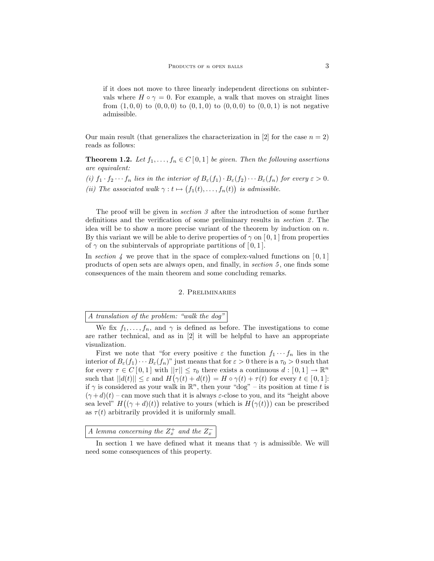if it does not move to three linearly independent directions on subintervals where  $H \circ \gamma = 0$ . For example, a walk that moves on straight lines from  $(1, 0, 0)$  to  $(0, 0, 0)$  to  $(0, 1, 0)$  to  $(0, 0, 0)$  to  $(0, 0, 1)$  is not negative admissible.

Our main result (that generalizes the characterization in [2] for the case  $n = 2$ ) reads as follows:

**Theorem 1.2.** Let  $f_1, \ldots, f_n \in C[0,1]$  be given. Then the following assertions are equivalent:

(i)  $f_1 \cdot f_2 \cdots f_n$  lies in the interior of  $B_{\varepsilon}(f_1) \cdot B_{\varepsilon}(f_2) \cdots B_{\varepsilon}(f_n)$  for every  $\varepsilon > 0$ . (ii) The associated walk  $\gamma : t \mapsto (f_1(t), \ldots, f_n(t))$  is admissible.

The proof will be given in section 3 after the introduction of some further definitions and the verification of some preliminary results in *section* 2. The idea will be to show a more precise variant of the theorem by induction on  $n$ . By this variant we will be able to derive properties of  $\gamma$  on [0, 1] from properties of  $\gamma$  on the subintervals of appropriate partitions of [0, 1].

In section 4 we prove that in the space of complex-valued functions on  $[0,1]$ products of open sets are always open, and finally, in section 5 , one finds some consequences of the main theorem and some concluding remarks.

#### 2. Preliminaries

# A translation of the problem: "walk the dog"

First we note that "for every positive  $\varepsilon$  the function  $f_1 \cdots f_n$  lies in the interior of  $B_{\varepsilon}(f_1)\cdots B_{\varepsilon}(f_n)$ " just means that for  $\varepsilon > 0$  there is a  $\tau_0 > 0$  such that for every  $\tau \in C[0,1]$  with  $||\tau|| \leq \tau_0$  there exists a continuous  $d: [0,1] \to \mathbb{R}^n$ such that  $||d(t)|| \leq \varepsilon$  and  $H(\gamma(t) + d(t)) = H \circ \gamma(t) + \tau(t)$  for every  $t \in [0, 1]$ : if  $\gamma$  is considered as your walk in  $\mathbb{R}^n$ , then your "dog" – its position at time t is  $(\gamma + d)(t)$  – can move such that it is always  $\varepsilon$ -close to you, and its "height above sea level"  $H((\gamma + d)(t))$  relative to yours (which is  $H(\gamma(t))$ ) can be prescribed as  $\tau(t)$  arbitrarily provided it is uniformly small.

A lemma concerning the  $Z_x^+$  and the  $Z_x^-$ 

We fix  $f_1, \ldots, f_n$ , and  $\gamma$  is defined as before. The investigations to come are rather technical, and as in [2] it will be helpful to have an appropriate visualization.

In section 1 we have defined what it means that  $\gamma$  is admissible. We will need some consequences of this property.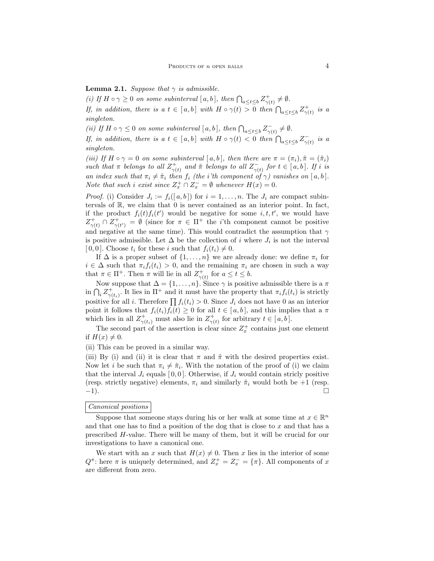**Lemma 2.1.** Suppose that  $\gamma$  is admissible.

(i) If  $H \circ \gamma \geq 0$  on some subinterval  $[a, b]$ , then  $\bigcap_{a \leq t \leq b} Z^+_{\gamma(t)} \neq \emptyset$ . If, in addition, there is a  $t \in [a, b]$  with  $H \circ \gamma(t) > 0$  then  $\bigcap_{a \leq t \leq b} Z_{\gamma(t)}^+$  is a singleton.

(ii) If  $H \circ \gamma \leq 0$  on some subinterval  $[a, b]$ , then  $\bigcap_{a \leq t \leq b} Z_{\gamma(t)}^- \neq \emptyset$ .

If, in addition, there is a  $t \in [a, b]$  with  $H \circ \gamma(t) < 0$  then  $\bigcap_{a \leq t \leq b} Z_{\gamma(t)}^-$  is a singleton.

(iii) If  $H \circ \gamma = 0$  on some subinterval  $[a, b]$ , then there are  $\pi = (\pi_i), \tilde{\pi} = (\tilde{\pi}_i)$ such that  $\pi$  belongs to all  $Z^+_{\gamma(t)}$  and  $\tilde{\pi}$  belongs to all  $Z^-_{\gamma(t)}$  for  $t \in [a, b]$ . If i is an index such that  $\pi_i \neq \tilde{\pi}_i$  then  $f_i$  (the i'th component of  $\gamma$ ) vanishes on [a, b]. Note that such i exist since  $Z_x^+ \cap Z_x^- = \emptyset$  whenever  $H(x) = 0$ .

*Proof.* (i) Consider  $J_i := f_i([a, b])$  for  $i = 1, ..., n$ . The  $J_i$  are compact subintervals of  $\mathbb{R}$ , we claim that 0 is never contained as an interior point. In fact, if the product  $f_i(t) f_i(t')$  would be negative for some  $i, t, t'$ , we would have  $Z_{\gamma(t)}^+ \cap Z_{\gamma(t')}^+ = \emptyset$  (since for  $\pi \in \Pi^+$  the *i*'th component cannot be positive and negative at the same time). This would contradict the assumption that  $\gamma$ is positive admissible. Let  $\Delta$  be the collection of i where  $J_i$  is not the interval [0,0]. Choose  $t_i$  for these i such that  $f_i(t_i) \neq 0$ .

If  $\Delta$  is a proper subset of  $\{1, \ldots, n\}$  we are already done: we define  $\pi_i$  for  $i \in \Delta$  such that  $\pi_i f_i(t_i) > 0$ , and the remaining  $\pi_i$  are chosen in such a way that  $\pi \in \Pi^+$ . Then  $\pi$  will lie in all  $Z^+_{\gamma(t)}$  for  $a \leq t \leq b$ .

Now suppose that  $\Delta = \{1, \ldots, n\}$ . Since  $\gamma$  is positive admissible there is a  $\pi$ in  $\bigcap_i Z^+_{\gamma(t_i)}$ . It lies in  $\Pi^+$  and it must have the property that  $\pi_i f_i(t_i)$  is strictly positive for all *i*. Therefore  $\prod f_i(t_i) > 0$ . Since  $J_i$  does not have 0 as an interior point it follows that  $f_i(t_i)f_i(t) \geq 0$  for all  $t \in [a, b]$ , and this implies that a  $\pi$ which lies in all  $Z_{\gamma(t_i)}^+$  must also lie in  $Z_{\gamma(t)}^+$  for arbitrary  $t \in [a, b]$ .

The second part of the assertion is clear since  $Z_x^+$  contains just one element if  $H(x) \neq 0$ .

(ii) This can be proved in a similar way.

(iii) By (i) and (ii) it is clear that  $\pi$  and  $\tilde{\pi}$  with the desired properties exist. Now let *i* be such that  $\pi_i \neq \tilde{\pi}_i$ . With the notation of the proof of (i) we claim that the interval  $J_i$  equals [0,0]. Otherwise, if  $J_i$  would contain stricly positive (resp. strictly negative) elements,  $\pi_i$  and similarly  $\tilde{\pi}_i$  would both be +1 (resp. −1).

### Canonical positions

Suppose that someone stays during his or her walk at some time at  $x \in \mathbb{R}^n$ and that one has to find a position of the dog that is close to  $x$  and that has a prescribed H-value. There will be many of them, but it will be crucial for our investigations to have a canonical one.

We start with an x such that  $H(x) \neq 0$ . Then x lies in the interior of some  $Q^{\pi}$ : here  $\pi$  is uniquely determined, and  $Z_x^+ = Z_x^- = {\pi}$ . All components of x are different from zero.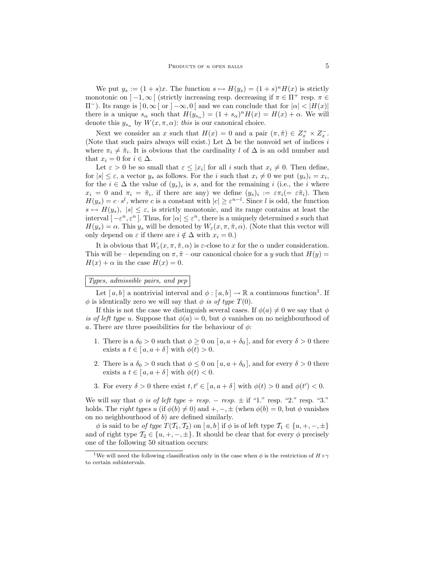We put  $y_s := (1 + s)x$ . The function  $s \mapsto H(y_s) = (1 + s)^n H(x)$  is strictly monotonic on  $]-1,\infty[$  (strictly increasing resp. decreasing if  $\pi \in \Pi^+$  resp.  $\pi \in$  $\Pi^-$ ). Its range is  $] 0, \infty[$  or  $] -\infty, 0[$  and we can conclude that for  $|\alpha| < |H(x)|$ there is a unique  $s_{\alpha}$  such that  $H(y_{s_{\alpha}}) = (1 + s_{\alpha})^n H(x) = H(x) + \alpha$ . We will denote this  $y_{s_\alpha}$  by  $W(x, \pi, \alpha)$ : this is our canonical choice.

Next we consider an x such that  $H(x) = 0$  and a pair  $(\pi, \tilde{\pi}) \in Z_x^+ \times Z_x^-$ . (Note that such pairs always will exist.) Let  $\Delta$  be the nonvoid set of indices i where  $\pi_i \neq \tilde{\pi}_i$ . It is obvious that the cardinality l of  $\Delta$  is an odd number and that  $x_i = 0$  for  $i \in \Delta$ .

Let  $\varepsilon > 0$  be so small that  $\varepsilon \leq |x_i|$  for all i such that  $x_i \neq 0$ . Then define, for  $|s| \leq \varepsilon$ , a vector  $y_s$  as follows. For the *i* such that  $x_i \neq 0$  we put  $(y_s)_i = x_i$ , for the  $i \in \Delta$  the value of  $(y_s)_i$  is s, and for the remaining i (i.e., the i where  $x_i = 0$  and  $\pi_i = \tilde{\pi}_i$ , if there are any) we define  $(y_s)_i := \varepsilon \pi_i (= \varepsilon \tilde{\pi}_i)$ . Then  $H(y_s) = c \cdot s^l$ , where c is a constant with  $|c| \geq \varepsilon^{n-l}$ . Since l is odd, the function  $s \mapsto H(y_s), |s| \leq \varepsilon$ , is strictly monotonic, and its range contains at least the interval  $[-\varepsilon^n, \varepsilon^n]$ . Thus, for  $|\alpha| \leq \varepsilon^n$ , there is a uniquely determined s such that  $H(y_s) = \alpha$ . This y<sub>s</sub> will be denoted by  $W_{\varepsilon}(x, \pi, \tilde{\pi}, \alpha)$ . (Note that this vector will only depend on  $\varepsilon$  if there are  $i \notin \Delta$  with  $x_i = 0$ .)

It is obvious that  $W_{\varepsilon}(x, \pi, \tilde{\pi}, \alpha)$  is  $\varepsilon$ -close to x for the  $\alpha$  under consideration. This will be – depending on  $\pi$ ,  $\tilde{\pi}$  – our canonical choice for a y such that  $H(y)$  =  $H(x) + \alpha$  in the case  $H(x) = 0$ .

# Types, admissible pairs, and pep

Let  $[a, b]$  a nontrivial interval and  $\phi : [a, b] \to \mathbb{R}$  a continuous function<sup>1</sup>. If  $\phi$  is identically zero we will say that  $\phi$  is of type  $T(0)$ .

If this is not the case we distinguish several cases. If  $\phi(a) \neq 0$  we say that  $\phi$ is of left type u. Suppose that  $\phi(a) = 0$ , but  $\phi$  vanishes on no neighbourhood of a. There are three possibilities for the behaviour of  $\phi$ :

- 1. There is a  $\delta_0 > 0$  such that  $\phi \geq 0$  on  $[a, a + \delta_0]$ , and for every  $\delta > 0$  there exists a  $t \in [a, a + \delta]$  with  $\phi(t) > 0$ .
- 2. There is a  $\delta_0 > 0$  such that  $\phi \leq 0$  on  $[a, a + \delta_0]$ , and for every  $\delta > 0$  there exists a  $t \in [a, a + \delta]$  with  $\phi(t) < 0$ .
- 3. For every  $\delta > 0$  there exist  $t, t' \in [a, a + \delta]$  with  $\phi(t) > 0$  and  $\phi(t') < 0$ .

We will say that  $\phi$  is of left type + resp. – resp.  $\pm$  if "1." resp. "2." resp. "3." holds. The right types u (if  $\phi(b) \neq 0$ ) and  $+$ ,  $-$ ,  $\pm$  (when  $\phi(b) = 0$ , but  $\phi$  vanishes on no neighbourhood of  $b$ ) are defined similarly.

 $\phi$  is said to be of type  $T(T_1, T_2)$  on [a, b] if  $\phi$  is of left type  $T_1 \in \{u, +, -, \pm\}$ and of right type  $\mathcal{T}_2 \in \{u, +, -, \pm\}$ . It should be clear that for every  $\phi$  precisely one of the following 50 situation occurs:

<sup>&</sup>lt;sup>1</sup>We will need the following classification only in the case when  $\phi$  is the restriction of  $H \circ \gamma$ to certain subintervals.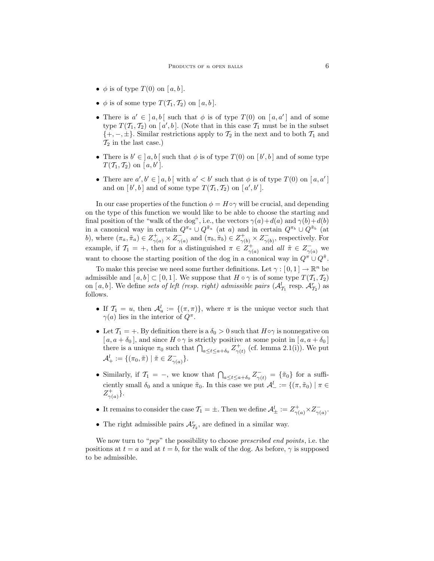- $\phi$  is of type  $T(0)$  on  $[a, b]$ .
- $\phi$  is of some type  $T(T_1, T_2)$  on [a, b].
- There is  $a' \in [a, b]$  such that  $\phi$  is of type  $T(0)$  on  $[a, a']$  and of some type  $T(T_1, T_2)$  on [a', b]. (Note that in this case  $T_1$  must be in the subset  $\{+,-,\pm\}.$  Similar restrictions apply to  $\mathcal{T}_2$  in the next and to both  $\mathcal{T}_1$  and  $\mathcal{T}_2$  in the last case.)
- There is  $b' \in [a, b]$  such that  $\phi$  is of type  $T(0)$  on  $[b', b]$  and of some type  $T(\mathcal{T}_1, \mathcal{T}_2)$  on [a,b'].
- There are  $a', b' \in ] a, b [$  with  $a' < b'$  such that  $\phi$  is of type  $T(0)$  on  $[a, a']$ and on  $[b', b]$  and of some type  $T(T_1, T_2)$  on  $[a', b']$ .

In our case properties of the function  $\phi = H \circ \gamma$  will be crucial, and depending on the type of this function we would like to be able to choose the starting and final position of the "walk of the dog", i.e., the vectors  $\gamma(a)+d(a)$  and  $\gamma(b)+d(b)$ in a canonical way in certain  $Q^{\pi_a} \cup Q^{\tilde{\pi}_a}$  (at a) and in certain  $Q^{\pi_b} \cup Q^{\tilde{\pi}_b}$  (at b), where  $(\pi_a, \tilde{\pi}_a) \in Z_{\gamma(a)}^+ \times Z_{\gamma(a)}^-$  and  $(\pi_b, \tilde{\pi}_b) \in Z_{\gamma(b)}^+ \times Z_{\gamma(b)}^-$ , respectively. For example, if  $\mathcal{T}_1 = +$ , then for a distinguished  $\pi \in Z^+_{\gamma(a)}$  and all  $\tilde{\pi} \in Z^-_{\gamma(a)}$  we want to choose the starting position of the dog in a canonical way in  $Q^{\pi} \cup Q^{\tilde{\pi}}$ .

To make this precise we need some further definitions. Let  $\gamma : [0,1] \to \mathbb{R}^n$  be admissible and  $[a, b] \subset [0, 1]$ . We suppose that  $H \circ \gamma$  is of some type  $T(\mathcal{T}_1, \mathcal{T}_2)$ on [a, b]. We define sets of left (resp. right) admissible pairs  $(\mathcal{A}_{\mathcal{T}_1}^l$  resp.  $\mathcal{A}_{\mathcal{T}_2}^r)$  as follows.

- If  $\mathcal{T}_1 = u$ , then  $\mathcal{A}_u^l := \{(\pi, \pi)\}\$ , where  $\pi$  is the unique vector such that  $\gamma(a)$  lies in the interior of  $Q^{\pi}$ .
- Let  $\mathcal{T}_1 = +$ . By definition there is a  $\delta_0 > 0$  such that  $H \circ \gamma$  is nonnegative on  $[a, a + \delta_0]$ , and since  $H \circ \gamma$  is strictly positive at some point in  $[a, a + \delta_0]$ there is a unique  $\pi_0$  such that  $\bigcap_{a \leq t \leq a+\delta_0} Z^+_{\gamma(t)}$  (cf. lemma 2.1(i)). We put  $\mathcal{A}^l_+ := \{ (\pi_0, \tilde{\pi}) \mid \tilde{\pi} \in Z^-_{\gamma(a)} \}.$
- Similarly, if  $\mathcal{T}_1 = -$ , we know that  $\bigcap_{a \leq t \leq a+\delta_0} \mathcal{Z}^-_{\gamma(t)} = {\{\tilde{\pi}_0\}}$  for a sufficiently small  $\delta_0$  and a unique  $\tilde{\pi}_0$ . In this case we put  $\mathcal{A}^l_- := \{(\pi, \tilde{\pi}_0) \mid \pi \in$  $Z_{\gamma(a)}^{+}$ .
- It remains to consider the case  $\mathcal{T}_1 = \pm$ . Then we define  $\mathcal{A}^l_{\pm} := Z^+_{\gamma(a)} \times Z^-_{\gamma(a)}$ .
- The right admissible pairs  $\mathcal{A}_{\mathcal{T}_2}^r$ , are defined in a similar way.

We now turn to "*pep*" the possibility to choose *prescribed end points*, i.e. the positions at  $t = a$  and at  $t = b$ , for the walk of the dog. As before,  $\gamma$  is supposed to be admissible.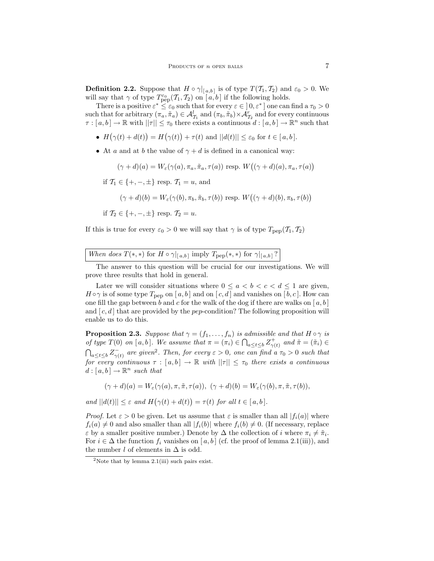**Definition 2.2.** Suppose that  $H \circ \gamma|_{[a,b]}$  is of type  $T(\mathcal{T}_1, \mathcal{T}_2)$  and  $\varepsilon_0 > 0$ . We will say that  $\gamma$  of type  $T^{\varepsilon_0}_{\text{pep}}(T_1, T_2)$  on  $[a, b]$  if the following holds.

There is a positive  $\varepsilon^* \leq \varepsilon_0$  such that for every  $\varepsilon \in (0,\varepsilon^*)$  one can find a  $\tau_0 > 0$ such that for arbitrary  $(\pi_a, \tilde{\pi}_a) \in \mathcal{A}_{\mathcal{T}_1}^l$  and  $(\pi_b, \tilde{\pi}_b) \times \mathcal{A}_{\mathcal{T}_2}^r$  and for every continuous  $\tau : [a, b] \to \mathbb{R}$  with  $||\tau|| \leq \tau_0$  there exists a continuous  $d : [a, b] \to \mathbb{R}^n$  such that

- $H(\gamma(t) + d(t)) = H(\gamma(t)) + \tau(t)$  and  $||d(t)|| \leq \varepsilon_0$  for  $t \in [a, b]$ .
- At a and at b the value of  $\gamma + d$  is defined in a canonical way:

$$
(\gamma + d)(a) = W_{\varepsilon}(\gamma(a), \pi_a, \tilde{\pi}_a, \tau(a))
$$
 resp.  $W((\gamma + d)(a), \pi_a, \tau(a))$ 

if  $\mathcal{T}_1 \in \{+, -, \pm\}$  resp.  $\mathcal{T}_1 = u$ , and

$$
(\gamma + d)(b) = W_{\varepsilon}(\gamma(b), \pi_b, \tilde{\pi}_b, \tau(b))
$$
 resp.  $W((\gamma + d)(b), \pi_b, \tau(b))$ 

if  $\mathcal{T}_2 \in \{+, -, \pm\}$  resp.  $\mathcal{T}_2 = u$ .

If this is true for every  $\varepsilon_0 > 0$  we will say that  $\gamma$  is of type  $T_{\text{pep}}(T_1, T_2)$ 

The answer to this question will be crucial for our investigations. We will prove three results that hold in general.

Later we will consider situations where  $0 \le a \le b \le c \le d \le 1$  are given,  $H \circ \gamma$  is of some type  $T_{\text{pep}}$  on [a, b] and on [c, d] and vanishes on [b, c]. How can one fill the gap between b and c for the walk of the dog if there are walks on  $[a, b]$ and  $[c, d]$  that are provided by the *pep*-condition? The following proposition will enable us to do this.

**Proposition 2.3.** Suppose that  $\gamma = (f_1, \ldots, f_n)$  is admissible and that  $H \circ \gamma$  is of type  $T(0)$  on [a, b]. We assume that  $\pi = (\pi_i) \in \bigcap_{a \leq t \leq b} Z^+_{\gamma(t)}$  and  $\tilde{\pi} = (\tilde{\pi}_i) \in$  $\bigcap_{a \leq t \leq b} Z_{\gamma(t)}^{-}$  are given<sup>2</sup>. Then, for every  $\varepsilon > 0$ , one can find a  $\tau_0 > 0$  such that for every continuous  $\tau : [a, b] \to \mathbb{R}$  with  $||\tau|| \leq \tau_0$  there exists a continuous  $d : [a, b] \to \mathbb{R}^n$  such that

$$
(\gamma + d)(a) = W_{\varepsilon}(\gamma(a), \pi, \tilde{\pi}, \tau(a)), \ (\gamma + d)(b) = W_{\varepsilon}(\gamma(b), \pi, \tilde{\pi}, \tau(b)),
$$

and  $||d(t)|| \leq \varepsilon$  and  $H(\gamma(t) + d(t)) = \tau(t)$  for all  $t \in [a, b]$ .

*Proof.* Let  $\varepsilon > 0$  be given. Let us assume that  $\varepsilon$  is smaller than all  $|f_i(a)|$  where  $f_i(a) \neq 0$  and also smaller than all  $|f_i(b)|$  where  $f_i(b) \neq 0$ . (If necessary, replace  $\varepsilon$  by a smaller positive number.) Denote by  $\Delta$  the collection of i where  $\pi_i \neq \tilde{\pi}_i$ . For  $i \in \Delta$  the function  $f_i$  vanishes on [a, b] (cf. the proof of lemma 2.1(iii)), and the number  $l$  of elements in  $\Delta$  is odd.

<sup>&</sup>lt;sup>2</sup>Note that by lemma  $2.1(iii)$  such pairs exist.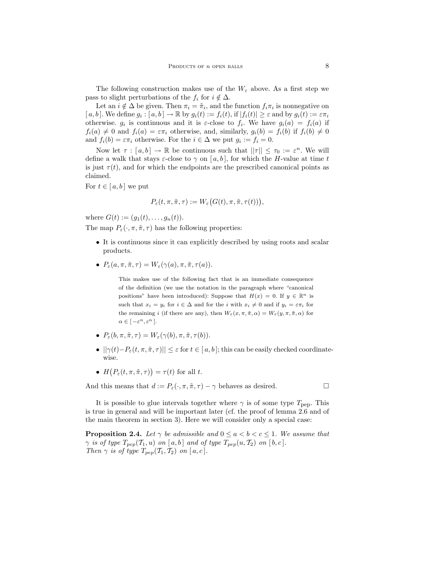The following construction makes use of the  $W_{\varepsilon}$  above. As a first step we pass to slight perturbations of the  $f_i$  for  $i \notin \Delta$ .

Let an  $i \notin \Delta$  be given. Then  $\pi_i = \tilde{\pi}_i$ , and the function  $f_i \pi_i$  is nonnegative on [ $a, b$ ]. We define  $g_i : [a, b] \to \mathbb{R}$  by  $g_i(t) := f_i(t)$ , if  $|f_i(t)| \geq \varepsilon$  and by  $g_i(t) := \varepsilon \pi_i$ otherwise.  $g_i$  is continuous and it is  $\varepsilon$ -close to  $f_i$ . We have  $g_i(a) = f_i(a)$  if  $f_i(a) \neq 0$  and  $f_i(a) = \varepsilon \pi_i$  otherwise, and, similarly,  $g_i(b) = f_i(b)$  if  $f_i(b) \neq 0$ and  $f_i(b) = \varepsilon \pi_i$  otherwise. For the  $i \in \Delta$  we put  $g_i := f_i = 0$ .

Now let  $\tau : [a, b] \to \mathbb{R}$  be continuous such that  $||\tau|| \leq \tau_0 := \varepsilon^n$ . We will define a walk that stays  $\varepsilon$ -close to  $\gamma$  on [a, b], for which the H-value at time t is just  $\tau(t)$ , and for which the endpoints are the prescribed canonical points as claimed.

For  $t \in [a, b]$  we put

$$
P_{\varepsilon}(t, \pi, \tilde{\pi}, \tau) := W_{\varepsilon}(G(t), \pi, \tilde{\pi}, \tau(t))),
$$

where  $G(t) := (g_1(t), \ldots, g_n(t)).$ 

The map  $P_{\varepsilon}(\cdot, \pi, \tilde{\pi}, \tau)$  has the following properties:

- It is continuous since it can explicitly described by using roots and scalar products.
- $P_{\varepsilon}(a, \pi, \tilde{\pi}, \tau) = W_{\varepsilon}(\gamma(a), \pi, \tilde{\pi}, \tau(a)).$

This makes use of the following fact that is an immediate consequence of the definition (we use the notation in the paragraph where "canonical positions" have been introduced): Suppose that  $H(x) = 0$ . If  $y \in \mathbb{R}^n$  is such that  $x_i = y_i$  for  $i \in \Delta$  and for the i with  $x_i \neq 0$  and if  $y_i = \varepsilon \pi_i$  for the remaining i (if there are any), then  $W_{\varepsilon}(x, \pi, \tilde{\pi}, \alpha) = W_{\varepsilon}(y, \pi, \tilde{\pi}, \alpha)$  for  $\alpha \in [-\varepsilon^n, \varepsilon^n]$ .

- $P_{\varepsilon}(b, \pi, \tilde{\pi}, \tau) = W_{\varepsilon}(\gamma(b), \pi, \tilde{\pi}, \tau(b)).$
- $||\gamma(t)-P_{\varepsilon}(t,\pi,\tilde{\pi},\tau)|| \leq \varepsilon$  for  $t \in [a,b]$ ; this can be easily checked coordinatewise.
- $H(P_{\varepsilon}(t,\pi,\tilde{\pi},\tau))=\tau(t)$  for all t.

And this means that  $d := P_{\varepsilon}(\cdot, \pi, \tilde{\pi}, \tau) - \gamma$  behaves as desired.

It is possible to glue intervals together where  $\gamma$  is of some type  $T_{\text{pep}}$ . This is true in general and will be important later (cf. the proof of lemma 2.6 and of the main theorem in section 3). Here we will consider only a special case:

**Proposition 2.4.** Let  $\gamma$  be admissible and  $0 \le a < b < c \le 1$ . We assume that  $\gamma$  is of type  $T_{pep}(\mathcal{T}_1, u)$  on [a, b] and of type  $T_{pep}(u, \mathcal{T}_2)$  on [b, c]. Then  $\gamma$  is of type  $T_{pep}(\mathcal{T}_1, \mathcal{T}_2)$  on  $[a, c]$ .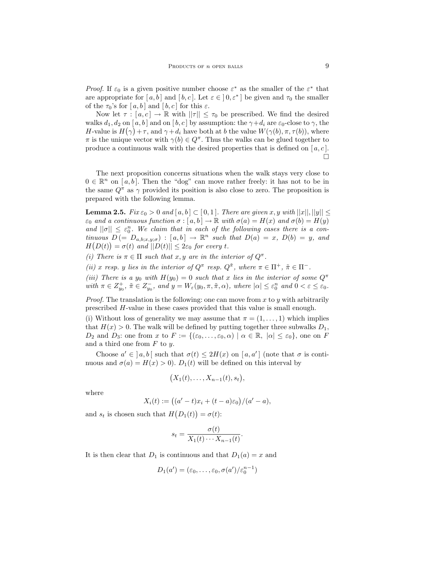*Proof.* If  $\varepsilon_0$  is a given positive number choose  $\varepsilon^*$  as the smaller of the  $\varepsilon^*$  that are appropriate for  $[a, b]$  and  $[b, c]$ . Let  $\varepsilon \in (0, \varepsilon^*]$  be given and  $\tau_0$  the smaller of the  $\tau_0$ 's for  $[a, b]$  and  $[b, c]$  for this  $\varepsilon$ .

Now let  $\tau : [a, c] \to \mathbb{R}$  with  $||\tau|| \leq \tau_0$  be prescribed. We find the desired walks  $d_1, d_2$  on [a, b] and on [b, c] by assumption: the  $\gamma + d_i$  are  $\varepsilon_0$ -close to  $\gamma$ , the H-value is  $H(\gamma) + \tau$ , and  $\gamma + d_i$  have both at b the value  $W(\gamma(b), \pi, \tau(b))$ , where  $\pi$  is the unique vector with  $\gamma(b) \in Q^{\pi}$ . Thus the walks can be glued together to produce a continuous walk with the desired properties that is defined on  $[a, c]$ . П

The next proposition concerns situations when the walk stays very close to  $0 \in \mathbb{R}^n$  on [a, b]. Then the "dog" can move rather freely: it has not to be in the same  $Q^{\pi}$  as  $\gamma$  provided its position is also close to zero. The proposition is prepared with the following lemma.

**Lemma 2.5.** Fix  $\varepsilon_0 > 0$  and  $[a, b] \subset [0, 1]$ . There are given x, y with  $||x||, ||y|| \le$  $\varepsilon_0$  and a continuous function  $\sigma : [a, b] \to \mathbb{R}$  with  $\sigma(a) = H(x)$  and  $\sigma(b) = H(y)$ and  $||\sigma|| \leq \varepsilon_0^n$ . We claim that in each of the following cases there is a continuous  $D = [D_{a,b;x,y;\sigma}) : [a,b] \to \mathbb{R}^n$  such that  $D(a) = x$ ,  $D(b) = y$ , and  $H(D(t)) = \sigma(t)$  and  $||D(t)|| \leq 2\varepsilon_0$  for every t.

(i) There is  $\pi \in \Pi$  such that x, y are in the interior of  $Q^{\pi}$ .

(ii) x resp. y lies in the interior of  $Q^{\pi}$  resp.  $Q^{\tilde{\pi}}$ , where  $\pi \in \Pi^{+}$ ,  $\tilde{\pi} \in \Pi^{-}$ .

(iii) There is a y<sub>0</sub> with  $H(y_0) = 0$  such that x lies in the interior of some  $Q^{\pi}$ with  $\pi \in Z_{y_0}^+$ ,  $\tilde{\pi} \in Z_{y_0}^-$ , and  $y = W_{\varepsilon}(y_0, \pi, \tilde{\pi}, \alpha)$ , where  $|\alpha| \leq \varepsilon_0^n$  and  $0 < \varepsilon \leq \varepsilon_0$ .

*Proof.* The translation is the following: one can move from x to y with arbitrarily prescribed H-value in these cases provided that this value is small enough.

(i) Without loss of generality we may assume that  $\pi = (1, \ldots, 1)$  which implies that  $H(x) > 0$ . The walk will be defined by putting together three subwalks  $D_1$ ,  $D_2$  and  $D_3$ : one from x to  $F := \{(\varepsilon_0, \ldots, \varepsilon_0, \alpha) \mid \alpha \in \mathbb{R}, \ |\alpha| \leq \varepsilon_0\}$ , one on F and a third one from  $F$  to  $y$ .

Choose  $a' \in [a, b]$  such that  $\sigma(t) \leq 2H(x)$  on  $[a, a']$  (note that  $\sigma$  is continuous and  $\sigma(a) = H(x) > 0$ .  $D_1(t)$  will be defined on this interval by

$$
(X_1(t),\ldots,X_{n-1}(t),s_t),
$$

where

$$
X_i(t) := ((a'-t)x_i + (t-a)\varepsilon_0)/(a'-a),
$$

and  $s_t$  is chosen such that  $H(D_1(t)) = \sigma(t)$ :

$$
s_t = \frac{\sigma(t)}{X_1(t) \cdots X_{n-1}(t)}.
$$

It is then clear that  $D_1$  is continuous and that  $D_1(a) = x$  and

$$
D_1(a') = (\varepsilon_0, \dots, \varepsilon_0, \sigma(a') / \varepsilon_0^{n-1})
$$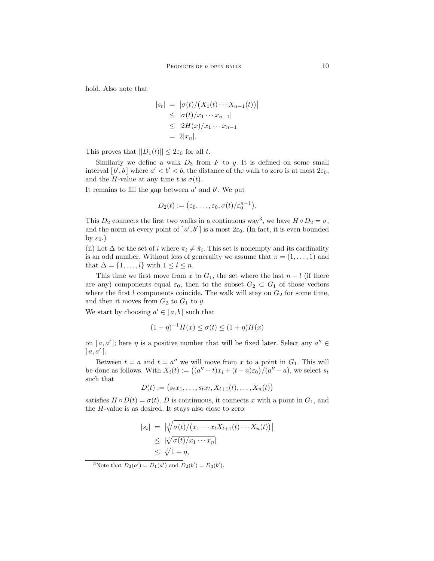hold. Also note that

$$
|s_t| = |\sigma(t)/(X_1(t)\cdots X_{n-1}(t))|
$$
  
\n
$$
\leq |\sigma(t)/x_1\cdots x_{n-1}|
$$
  
\n
$$
\leq |2H(x)/x_1\cdots x_{n-1}|
$$
  
\n
$$
= 2|x_n|.
$$

This proves that  $||D_1(t)|| \leq 2\varepsilon_0$  for all t.

Similarly we define a walk  $D_3$  from  $F$  to  $y$ . It is defined on some small interval  $[b', b]$  where  $a' < b' < b$ , the distance of the walk to zero is at most  $2\varepsilon_0$ , and the H-value at any time t is  $\sigma(t)$ .

It remains to fill the gap between  $a'$  and  $b'$ . We put

$$
D_2(t) := (\varepsilon_0, \ldots, \varepsilon_0, \sigma(t)/\varepsilon_0^{n-1}).
$$

This  $D_2$  connects the first two walks in a continuous way<sup>3</sup>, we have  $H \circ D_2 = \sigma$ , and the norm at every point of  $[a', b']$  is a most  $2\varepsilon_0$ . (In fact, it is even bounded by  $\varepsilon_0$ .)

(ii) Let  $\Delta$  be the set of i where  $\pi_i \neq \tilde{\pi}_i$ . This set is nonempty and its cardinality is an odd number. Without loss of generality we assume that  $\pi = (1, \ldots, 1)$  and that  $\Delta = \{1, \ldots, l\}$  with  $1 \leq l \leq n$ .

This time we first move from x to  $G_1$ , the set where the last  $n - l$  (if there are any) components equal  $\varepsilon_0$ , then to the subset  $G_2 \subset G_1$  of those vectors where the first  $l$  components coincide. The walk will stay on  $G_2$  for some time, and then it moves from  $G_2$  to  $G_1$  to y.

We start by choosing  $a' \in [a, b]$  such that

$$
(1 + \eta)^{-1}H(x) \le \sigma(t) \le (1 + \eta)H(x)
$$

on  $[a, a']$ ; here  $\eta$  is a positive number that will be fixed later. Select any  $a'' \in$  $a, a'$ [.

Between  $t = a$  and  $t = a''$  we will move from x to a point in  $G_1$ . This will be done as follows. With  $X_i(t) := ((a'' - t)x_i + (t - a)\varepsilon_0)/(a'' - a)$ , we select  $s_t$ such that

$$
D(t) := (s_t x_1, \dots, s_t x_l, X_{l+1}(t), \dots, X_n(t))
$$

satisfies  $H \circ D(t) = \sigma(t)$ . D is continuous, it connects x with a point in  $G_1$ , and the H-value is as desired. It stays also close to zero:

$$
|s_t| = \left| \sqrt[t]{\sigma(t)/(x_1 \cdots x_l X_{l+1}(t) \cdots X_n(t))} \right|
$$
  
\n
$$
\leq |\sqrt[t]{\sigma(t)/x_1 \cdots x_n}|
$$
  
\n
$$
\leq \sqrt[t]{1 + \eta},
$$

<sup>3</sup>Note that  $D_2(a') = D_1(a')$  and  $D_2(b') = D_3(b')$ .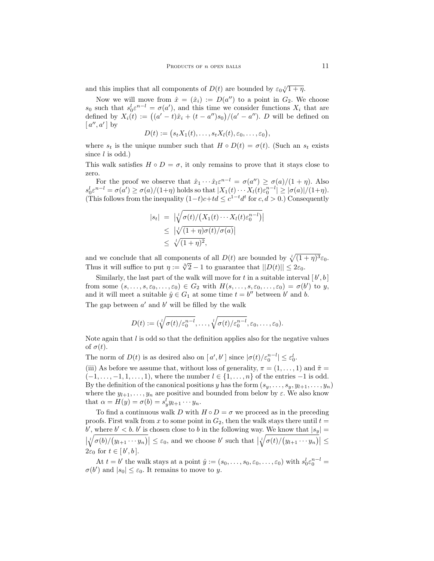and this implies that all components of  $D(t)$  are bounded by  $\varepsilon_0 \sqrt[t]{1 + \eta}$ .

Now we will move from  $\hat{x} = (\hat{x}_i) := D(a'')$  to a point in  $G_2$ . We choose  $s_0$  such that  $s_0^l \varepsilon^{n-l} = \sigma(a')$ , and this time we consider functions  $X_i$  that are defined by  $X_i(t) := ((a' - t)\hat{x}_i + (t - a'')s_0)/(a' - a'')$ . D will be defined on  $[a'', a']$  by

$$
D(t) := (s_t X_1(t), \ldots, s_t X_l(t), \varepsilon_0, \ldots, \varepsilon_0),
$$

where  $s_t$  is the unique number such that  $H \circ D(t) = \sigma(t)$ . (Such an  $s_t$  exists since  $l$  is odd.)

This walk satisfies  $H \circ D = \sigma$ , it only remains to prove that it stays close to zero.

For the proof we observe that  $\hat{x}_1 \cdots \hat{x}_l z^{n-l} = \sigma(a'') \geq \sigma(a)/(1+\eta)$ . Also  $s_0^l \varepsilon^{n-l} = \sigma(a') \ge \sigma(a)/(1+\eta)$  holds so that  $|X_1(t) \cdots X_l(t) \varepsilon_0^{n-l}| \ge |\sigma(a)|/(1+\eta)$ . (This follows from the inequality  $(1-t)c+td \leq c^{1-t}d^t$  for  $c, d > 0$ .) Consequently

$$
|s_t| = \left| \sqrt[t]{\sigma(t)/(X_1(t) \cdots X_l(t)\varepsilon_0^{n-l})} \right|
$$
  
\$\leq t/(1+\eta)\sigma(t)/\sigma(a)\$  
\$\leq t/(1+\eta)^2\$,

and we conclude that all components of all  $D(t)$  are bounded by  $\sqrt[t]{(1 + \eta)^3} \varepsilon_0$ . Thus it will suffice to put  $\eta := \sqrt[3]{2} - 1$  to guarantee that  $||D(t)|| \leq 2\varepsilon_0$ .

Similarly, the last part of the walk will move for t in a suitable interval  $[b', b]$ from some  $(s, \ldots, s, \varepsilon_0, \ldots, \varepsilon_0) \in G_2$  with  $H(s, \ldots, s, \varepsilon_0, \ldots, \varepsilon_0) = \sigma(b')$  to y, and it will meet a suitable  $\hat{y} \in G_1$  at some time  $t = b''$  between b' and b. The gap between  $a'$  and  $b'$  will be filled by the walk

$$
D(t) := (\sqrt[t]{\sigma(t)/\varepsilon_0^{n-l}}, \ldots, \sqrt[t]{\sigma(t)/\varepsilon_0^{n-l}}, \varepsilon_0, \ldots, \varepsilon_0).
$$

Note again that  $l$  is odd so that the definition applies also for the negative values of  $\sigma(t)$ .

The norm of  $D(t)$  is as desired also on  $[a', b']$  since  $|\sigma(t)/\varepsilon_0^{n-l}| \leq \varepsilon_0^l$ .

(iii) As before we assume that, without loss of generality,  $\pi = (1, \ldots, 1)$  and  $\tilde{\pi} =$  $(-1, \ldots, -1, 1, \ldots, 1)$ , where the number  $l \in \{1, \ldots, n\}$  of the entries  $-1$  is odd. By the definition of the canonical positions y has the form  $(s_y, \ldots, s_y, y_{l+1}, \ldots, y_n)$ where the  $y_{l+1}, \ldots, y_n$  are positive and bounded from below by  $\varepsilon$ . We also know that  $\alpha = H(y) = \sigma(b) = s_y^l y_{l+1} \cdots y_n$ .

To find a continuous walk D with  $H \circ D = \sigma$  we proceed as in the preceding proofs. First walk from x to some point in  $G_2$ , then the walk stays there until  $t =$ b', where  $b' < b$ . b' is chosen close to b in the following way. We know that  $|s_y| =$  $\left|\sqrt[i]{\sigma(b)/(y_{l+1}\cdots y_n)}\right| \leq \varepsilon_0$ , and we choose b' such that  $\left|\sqrt[i]{\sigma(t)/(y_{l+1}\cdots y_n)}\right| \leq$  $2\varepsilon_0$  for  $t \in [b', b]$ .

At  $t = b'$  the walk stays at a point  $\hat{y} := (s_0, \ldots, s_0, \varepsilon_0, \ldots, \varepsilon_0)$  with  $s_0^l \varepsilon_0^{n-l} =$  $\sigma(b')$  and  $|s_0| \leq \varepsilon_0$ . It remains to move to y.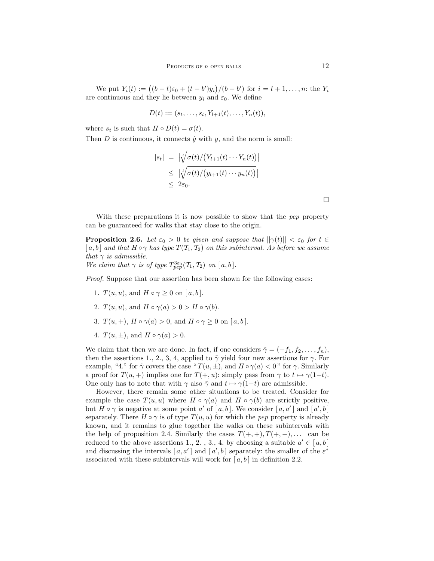We put  $Y_i(t) := ((b - t)\varepsilon_0 + (t - b')y_i)/(b - b')$  for  $i = l + 1, ..., n$ : the  $Y_i$ are continuous and they lie between  $y_i$  and  $\varepsilon_0$ . We define

$$
D(t) := (s_t, \ldots, s_t, Y_{l+1}(t), \ldots, Y_n(t)),
$$

where  $s_t$  is such that  $H \circ D(t) = \sigma(t)$ .

Then D is continuous, it connects  $\hat{y}$  with y, and the norm is small:

$$
|s_t| = \left| \sqrt[t]{\sigma(t)/(Y_{l+1}(t) \cdots Y_n(t))} \right|
$$
  
\n
$$
\leq \left| \sqrt[t]{\sigma(t)/(y_{l+1}(t) \cdots y_n(t))} \right|
$$
  
\n
$$
\leq 2\varepsilon_0.
$$

With these preparations it is now possible to show that the *pep* property can be guaranteed for walks that stay close to the origin.

**Proposition 2.6.** Let  $\varepsilon_0 > 0$  be given and suppose that  $||\gamma(t)|| < \varepsilon_0$  for  $t \in$ [a, b] and that  $H \circ \gamma$  has type  $T(T_1, T_2)$  on this subinterval. As before we assume that  $\gamma$  is admissible.

We claim that  $\gamma$  is of type  $T^{3\varepsilon_0}_{pep}(T_1, T_2)$  on  $[a, b]$ .

Proof. Suppose that our assertion has been shown for the following cases:

- 1.  $T(u, u)$ , and  $H \circ \gamma > 0$  on [a, b].
- 2.  $T(u, u)$ , and  $H \circ \gamma(a) > 0 > H \circ \gamma(b)$ .
- 3.  $T(u, +), H \circ \gamma(a) > 0$ , and  $H \circ \gamma \ge 0$  on  $[a, b]$ .
- 4.  $T(u, \pm)$ , and  $H \circ \gamma(a) > 0$ .

We claim that then we are done. In fact, if one considers  $\tilde{\gamma} = (-f_1, f_2, \ldots, f_n)$ , then the assertions 1., 2., 3, 4, applied to  $\tilde{\gamma}$  yield four new assertions for  $\gamma$ . For example, "4." for  $\tilde{\gamma}$  covers the case "  $T(u, \pm)$ , and  $H \circ \gamma(a) < 0$ " for  $\gamma$ . Similarly a proof for  $T(u,+)$  implies one for  $T(+, u)$ : simply pass from  $\gamma$  to  $t \mapsto \gamma(1-t)$ . One only has to note that with  $\gamma$  also  $\tilde{\gamma}$  and  $t \mapsto \gamma(1-t)$  are admissible.

However, there remain some other situations to be treated. Consider for example the case  $T(u, u)$  where  $H \circ \gamma(a)$  and  $H \circ \gamma(b)$  are strictly positive, but  $H \circ \gamma$  is negative at some point a' of [a, b]. We consider [a, a'] and [a', b] separately. There  $H \circ \gamma$  is of type  $T(u, u)$  for which the *pep* property is already known, and it remains to glue together the walks on these subintervals with the help of proposition 2.4. Similarly the cases  $T(+, +), T(+, -), \ldots$  can be reduced to the above assertions 1, 2, 3, 4, by choosing a suitable  $a' \in [a, b]$ and discussing the intervals  $[a, a']$  and  $[a', b]$  separately: the smaller of the  $\varepsilon^*$ associated with these subintervals will work for  $[a, b]$  in definition 2.2.

 $\Box$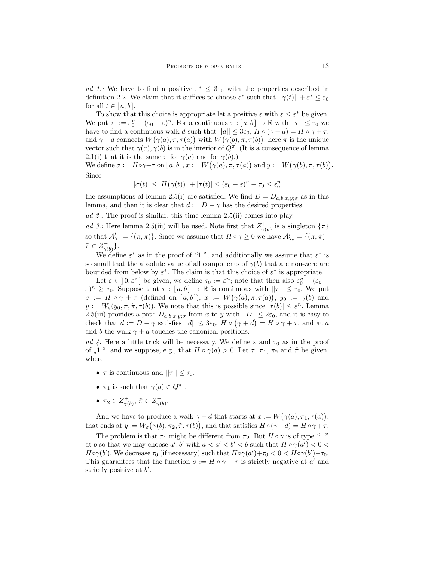ad 1.: We have to find a positive  $\varepsilon^* \leq 3\varepsilon_0$  with the properties described in definition 2.2. We claim that it suffices to choose  $\varepsilon^*$  such that  $||\gamma(t)|| + \varepsilon^* \leq \varepsilon_0$ for all  $t \in [a, b]$ .

To show that this choice is appropriate let a positive  $\varepsilon$  with  $\varepsilon \leq \varepsilon^*$  be given. We put  $\tau_0 := \varepsilon_0^n - (\varepsilon_0 - \varepsilon)^n$ . For a continuous  $\tau : [a, b] \to \mathbb{R}$  with  $||\tau|| \leq \tau_0$  we have to find a continuous walk d such that  $||d|| \leq 3\varepsilon_0$ ,  $H \circ (\gamma + d) = H \circ \gamma + \tau$ , and  $\gamma + d$  connects  $W(\gamma(a), \pi, \tau(a))$  with  $W(\gamma(b), \pi, \tau(b))$ ; here  $\pi$  is the unique vector such that  $\gamma(a), \gamma(b)$  is in the interior of  $Q^{\pi}$ . (It is a consequence of lemma 2.1(i) that it is the same  $\pi$  for  $\gamma(a)$  and for  $\gamma(b)$ .

We define  $\sigma := H \circ \gamma + \tau$  on  $[a, b], x := W(\gamma(a), \pi, \tau(a))$  and  $y := W(\gamma(b), \pi, \tau(b)).$ Since

$$
|\sigma(t)| \le |H(\gamma(t))| + |\tau(t)| \le (\varepsilon_0 - \varepsilon)^n + \tau_0 \le \varepsilon_0^n
$$

the assumptions of lemma 2.5(i) are satisfied. We find  $D = D_{a,b,x,y;\sigma}$  as in this lemma, and then it is clear that  $d := D - \gamma$  has the desired properties.

ad 2.: The proof is similar, this time lemma 2.5(ii) comes into play.

ad 3.: Here lemma 2.5(iii) will be used. Note first that  $Z_{\gamma(a)}^{+}$  is a singleton  $\{\pi\}$ so that  $\mathcal{A}_{\mathcal{T}_1}^l = \{(\pi, \pi)\}\.$  Since we assume that  $H \circ \gamma \geq 0$  we have  $\mathcal{A}_{\mathcal{T}_2}^r = \{(\pi, \tilde{\pi}) \mid \pi \in \mathcal{T}_1\}$  $\tilde{\pi} \in Z_{\gamma(b)}^-$ .

We define  $\varepsilon^*$  as in the proof of "1.", and additionally we assume that  $\varepsilon^*$  is so small that the absolute value of all components of  $\gamma(b)$  that are non-zero are bounded from below by  $\varepsilon^*$ . The claim is that this choice of  $\varepsilon^*$  is appropriate.

Let  $\varepsilon \in [0, \varepsilon^*]$  be given, we define  $\tau_0 := \varepsilon^n$ ; note that then also  $\varepsilon_0^n - (\varepsilon_0 - \varepsilon_0)$  $(\varepsilon)^n \geq \tau_0$ . Suppose that  $\tau : [a, b] \to \mathbb{R}$  is continuous with  $||\tau|| \leq \tau_0$ . We put  $\sigma := H \circ \gamma + \tau$  (defined on [a,b]),  $x := W(\gamma(a), \pi, \tau(a))$ ,  $y_0 := \gamma(b)$  and  $y := W_{\varepsilon}(y_0, \pi, \tilde{\pi}, \tau(b))$ . We note that this is possible since  $|\tau(b)| \leq \varepsilon^n$ . Lemma 2.5(iii) provides a path  $D_{a,b;x,y;\sigma}$  from x to y with  $||D|| \leq 2\varepsilon_0$ , and it is easy to check that  $d := D - \gamma$  satisfies  $||d|| \leq 3\varepsilon_0$ ,  $H \circ (\gamma + d) = H \circ \gamma + \tau$ , and at a and b the walk  $\gamma + d$  touches the canonical positions.

ad 4: Here a little trick will be necessary. We define  $\varepsilon$  and  $\tau_0$  as in the proof of ",1.", and we suppose, e.g., that  $H \circ \gamma(a) > 0$ . Let  $\tau$ ,  $\pi_1$ ,  $\pi_2$  and  $\tilde{\pi}$  be given, where

- $\tau$  is continuous and  $||\tau|| \leq \tau_0$ .
- $\pi_1$  is such that  $\gamma(a) \in Q^{\pi_1}$ .
- $\pi_2 \in Z_{\gamma(b)}^+$ ,  $\tilde{\pi} \in Z_{\gamma(b)}^-$ .

And we have to produce a walk  $\gamma + d$  that starts at  $x := W(\gamma(a), \pi_1, \tau(a)),$ that ends at  $y := W_{\varepsilon}(\gamma(b), \pi_2, \tilde{\pi}, \tau(b))$ , and that satisfies  $H \circ (\gamma + d) = H \circ \gamma + \tau$ .

The problem is that  $\pi_1$  might be different from  $\pi_2$ . But  $H \circ \gamma$  is of type " $\pm$ " at b so that we may choose  $a', b'$  with  $a < a' < b' < b$  such that  $H \circ \gamma(a') < 0 <$  $H \circ \gamma(b')$ . We decrease  $\tau_0$  (if necessary) such that  $H \circ \gamma(a') + \tau_0 < 0 < H \circ \gamma(b') - \tau_0$ . This guarantees that the function  $\sigma := H \circ \gamma + \tau$  is strictly negative at a' and strictly positive at  $b'$ .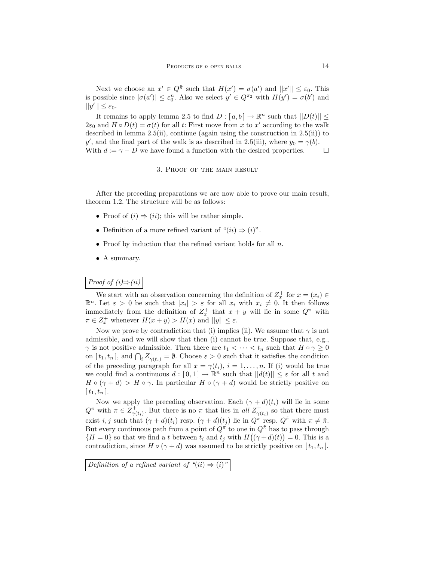Next we choose an  $x' \in Q^{\tilde{\pi}}$  such that  $H(x') = \sigma(a')$  and  $||x'|| \leq \varepsilon_0$ . This is possible since  $|\sigma(a')| \leq \varepsilon_0^n$ . Also we select  $y' \in Q^{\pi_2}$  with  $H(y') = \sigma(b')$  and  $||y'|| \leq \varepsilon_0.$ 

It remains to apply lemma 2.5 to find  $D: [a, b] \to \mathbb{R}^n$  such that  $||D(t)|| \le$  $2\varepsilon_0$  and  $H \circ D(t) = \sigma(t)$  for all t: First move from x to x' according to the walk described in lemma  $2.5(ii)$ , continue (again using the construction in  $2.5(ii)$ ) to y', and the final part of the walk is as described in 2.5(iii), where  $y_0 = \gamma(b)$ . With  $d := \gamma - D$  we have found a function with the desired properties.  $\Box$ 

#### 3. Proof of the main result

After the preceding preparations we are now able to prove our main result, theorem 1.2. The structure will be as follows:

- Proof of  $(i) \Rightarrow (ii)$ ; this will be rather simple.
- Definition of a more refined variant of " $(ii) \Rightarrow (i)$ ".
- Proof by induction that the refined variant holds for all  $n$ .
- A summary.

# Proof of  $(i) \Rightarrow (ii)$

We start with an observation concerning the definition of  $Z_x^+$  for  $x = (x_i) \in$  $\mathbb{R}^n$ . Let  $\varepsilon > 0$  be such that  $|x_i| > \varepsilon$  for all  $x_i$  with  $x_i \neq 0$ . It then follows immediately from the definition of  $Z_x^+$  that  $x + y$  will lie in some  $Q^{\pi}$  with  $\pi \in Z_x^+$  whenever  $H(x+y) > H(x)$  and  $||y|| \leq \varepsilon$ .

Now we prove by contradiction that (i) implies (ii). We assume that  $\gamma$  is not admissible, and we will show that then (i) cannot be true. Suppose that, e.g.,  $\gamma$  is not positive admissible. Then there are  $t_1 < \cdots < t_n$  such that  $H \circ \gamma \geq 0$ on  $[t_1, t_n]$ , and  $\bigcap_i Z^+_{\gamma(t_i)} = \emptyset$ . Choose  $\varepsilon > 0$  such that it satisfies the condition of the preceding paragraph for all  $x = \gamma(t_i)$ ,  $i = 1, \ldots, n$ . If (i) would be true we could find a continuous  $d: [0,1] \to \mathbb{R}^n$  such that  $||d(t)|| \leq \varepsilon$  for all t and  $H \circ (\gamma + d) > H \circ \gamma$ . In particular  $H \circ (\gamma + d)$  would be strictly positive on  $[t_1, t_n].$ 

Now we apply the preceding observation. Each  $(\gamma + d)(t_i)$  will lie in some  $Q^{\pi}$  with  $\pi \in Z_{\gamma(t_i)}^+$ . But there is no  $\pi$  that lies in all  $Z_{\gamma(t_i)}^+$  so that there must exist i, j such that  $(\gamma + d)(t_i)$  resp.  $(\gamma + d)(t_j)$  lie in  $Q^{\pi}$  resp.  $Q^{\tilde{\pi}}$  with  $\pi \neq \tilde{\pi}$ . But every continuous path from a point of  $Q^{\pi}$  to one in  $Q^{\tilde{\pi}}$  has to pass through  ${H = 0}$  so that we find a t between  $t_i$  and  $t_j$  with  $H((\gamma + d)(t)) = 0$ . This is a contradiction, since  $H \circ (\gamma + d)$  was assumed to be strictly positive on  $[t_1, t_n]$ .

Definition of a refined variant of " $(ii) \Rightarrow (i)$ "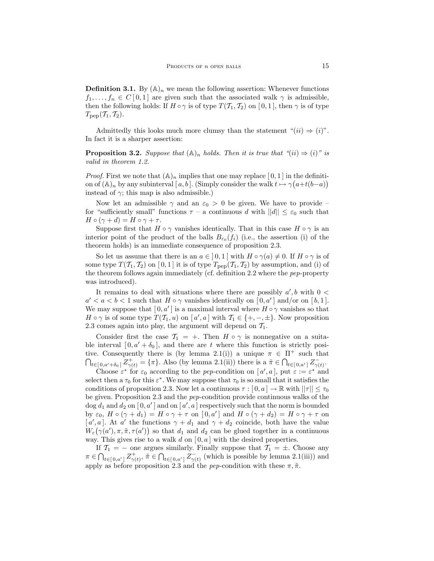**Definition 3.1.** By  $(\mathbb{A})_n$  we mean the following assertion: Whenever functions  $f_1, \ldots, f_n \in C[0,1]$  are given such that the associated walk  $\gamma$  is admissible, then the following holds: If  $H \circ \gamma$  is of type  $T(T_1, T_2)$  on [0, 1], then  $\gamma$  is of type  $T_{\rm pep}(\mathcal{T}_1, \mathcal{T}_2).$ 

Admittedly this looks much more clumsy than the statement " $(ii) \Rightarrow (i)$ ". In fact it is a sharper assertion:

**Proposition 3.2.** Suppose that  $(\mathbb{A})_n$  holds. Then it is true that " $(ii) \Rightarrow (i)$ " is valid in theorem 1.2.

*Proof.* First we note that  $(A)_n$  implies that one may replace [0, 1] in the definition of  $(\mathbb{A})_n$  by any subinterval  $[a, b]$ . (Simply consider the walk  $t \mapsto \gamma(a+t(b-a))$ instead of  $\gamma$ ; this map is also admissible.)

Now let an admissible  $\gamma$  and an  $\varepsilon_0 > 0$  be given. We have to provide – for "sufficiently small" functions  $\tau$  – a continuous d with  $||d|| \leq \varepsilon_0$  such that  $H \circ (\gamma + d) = H \circ \gamma + \tau.$ 

Suppose first that  $H \circ \gamma$  vanishes identically. That in this case  $H \circ \gamma$  is an interior point of the product of the balls  $B_{\varepsilon_0}(f_i)$  (i.e., the assertion (i) of the theorem holds) is an immediate consequence of proposition 2.3.

So let us assume that there is an  $a \in [0,1]$  with  $H \circ \gamma(a) \neq 0$ . If  $H \circ \gamma$  is of some type  $T(\mathcal{T}_1, \mathcal{T}_2)$  on [0,1] it is of type  $T_{\text{pep}}(\mathcal{T}_1, \mathcal{T}_2)$  by assumption, and (i) of the theorem follows again immediately (cf. definition 2.2 where the pep-property was introduced).

It remains to deal with situations where there are possibly  $a', b$  with  $0 <$  $a' < a < b < 1$  such that  $H \circ \gamma$  vanishes identically on  $[0, a']$  and/or on  $[b, 1]$ . We may suppose that  $[0, a']$  is a maximal interval where  $H \circ \gamma$  vanishes so that  $H \circ \gamma$  is of some type  $T(T_1, u)$  on  $[a', a]$  with  $T_1 \in \{+, -, \pm\}$ . Now proposition 2.3 comes again into play, the argument will depend on  $\mathcal{T}_1$ .

Consider first the case  $\mathcal{T}_1 = +$ . Then  $H \circ \gamma$  is nonnegative on a suitable interval  $[0, a' + \delta_0]$ , and there are t where this function is strictly positive. Consequently there is (by lemma 2.1(i)) a unique  $\pi \in \Pi^+$  such that  $\bigcap_{t \in [0, a'+\delta_0]} Z_{\gamma(t)}^+ = \{\pi\}.$  Also (by lemma 2.1(ii)) there is a  $\tilde{\pi} \in \bigcap_{t \in [0, a']} Z_{\gamma(t)}^-$ .

Choose  $\varepsilon^*$  for  $\varepsilon_0$  according to the pep-condition on  $[a', a]$ , put  $\varepsilon := \varepsilon^*$  and select then a  $\tau_0$  for this  $\varepsilon^*$ . We may suppose that  $\tau_0$  is so small that it satisfies the conditions of proposition 2.3. Now let a continuous  $\tau : [0, a] \to \mathbb{R}$  with  $||\tau|| \leq \tau_0$ be given. Proposition 2.3 and the pep-condition provide continuous walks of the  $\log d_1$  and  $d_2$  on  $[0, a']$  and on  $[a', a]$  respectively such that the norm is bounded by  $\varepsilon_0$ ,  $H \circ (\gamma + d_1) = H \circ \gamma + \tau$  on  $[0, a']$  and  $H \circ (\gamma + d_2) = H \circ \gamma + \tau$  on [a', a]. At a' the functions  $\gamma + d_1$  and  $\gamma + d_2$  coincide, both have the value  $W_{\varepsilon}(\gamma(a'), \pi, \tilde{\pi}, \tau(a'))$  so that  $d_1$  and  $d_2$  can be glued together in a continuous way. This gives rise to a walk d on  $[0, a]$  with the desired properties.

If  $\mathcal{T}_1$  = − one argues similarly. Finally suppose that  $\mathcal{T}_1$  = ±. Choose any  $\pi \in \bigcap_{t \in [0,a']} Z^+_{\gamma(t)}, \tilde{\pi} \in \bigcap_{t \in [0,a']} Z^-_{\gamma(t)}$  (which is possible by lemma 2.1(iii)) and apply as before proposition 2.3 and the *pep*-condition with these  $\pi, \tilde{\pi}$ .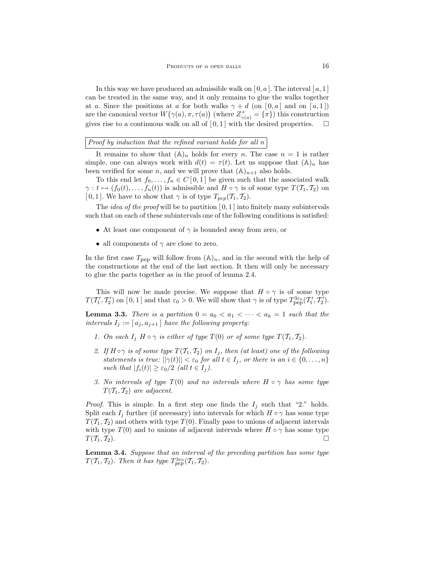In this way we have produced an admissible walk on  $[0, a]$ . The interval  $[a, 1]$ can be treated in the same way, and it only remains to glue the walks together at a. Since the positions at a for both walks  $\gamma + d$  (on  $[0, a]$  and on  $[a, 1]$ ) are the canonical vector  $W(\gamma(a), \pi, \tau(a))$  (where  $Z_{\gamma(a)}^+ = {\{\pi\}}$ ) this construction gives rise to a continuous walk on all of  $[0,1]$  with the desired properties.  $\Box$ 

Proof by induction that the refined variant holds for all n

It remains to show that  $(A)_n$  holds for every n. The case  $n = 1$  is rather simple, one can always work with  $d(t) = \tau(t)$ . Let us suppose that  $(\mathbb{A})_n$  has been verified for some *n*, and we will prove that  $(\mathbb{A})_{n+1}$  also holds.

To this end let  $f_0, \ldots, f_n \in C[0,1]$  be given such that the associated walk  $\gamma: t \mapsto (f_0(t), \ldots, f_n(t))$  is admissible and  $H \circ \gamma$  is of some type  $T(T_1, T_2)$  on [ 0, 1 ]. We have to show that  $\gamma$  is of type  $T_{pep}(\mathcal{T}_1, \mathcal{T}_2)$ .

The *idea of the proof* will be to partition  $[0, 1]$  into finitely many subintervals such that on each of these subintervals one of the following conditions is satisfied:

- At least one component of  $\gamma$  is bounded away from zero, or
- all components of  $\gamma$  are close to zero.

In the first case  $T_{\text{pep}}$  will follow from  $(\mathbb{A})_n$ , and in the second with the help of the constructions at the end of the last section. It then will only be necessary to glue the parts together as in the proof of lemma 2.4.

This will now be made precise. We suppose that  $H \circ \gamma$  is of some type  $T(T_1', T_2')$  on  $[0, 1]$  and that  $\varepsilon_0 > 0$ . We will show that  $\gamma$  is of type  $T_{\text{pep}}^{3\varepsilon_0}(T_1', T_2').$ 

**Lemma 3.3.** There is a partition  $0 = a_0 < a_1 < \cdots < a_k = 1$  such that the intervals  $I_j := [a_j, a_{j+1}]$  have the following property:

- 1. On each  $I_i$  H  $\circ \gamma$  is either of type  $T(0)$  or of some type  $T(T_1, T_2)$ .
- 2. If  $H \circ \gamma$  is of some type  $T(T_1, T_2)$  on  $I_i$ , then (at least) one of the following statements is true:  $||\gamma(t)|| < \varepsilon_0$  for all  $t \in I_j$ , or there is an  $i \in \{0, \ldots, n\}$ such that  $|f_i(t)| \geq \varepsilon_0/2$  (all  $t \in I_i$ ).
- 3. No intervals of type  $T(0)$  and no intervals where  $H \circ \gamma$  has some type  $T(\mathcal{T}_1, \mathcal{T}_2)$  are adjacent.

*Proof.* This is simple. In a first step one finds the  $I_j$  such that "2." holds. Split each  $I_j$  further (if necessary) into intervals for which  $H \circ \gamma$  has some type  $T(T_1, T_2)$  and others with type  $T(0)$ . Finally pass to unions of adjacent intervals with type  $T(0)$  and to unions of adjacent intervals where  $H \circ \gamma$  has some type  $T(\mathcal{T}_1, \mathcal{T}_2)$ .

Lemma 3.4. Suppose that an interval of the preceding partition has some type  $T(\mathcal{T}_1, \mathcal{T}_2)$ . Then it has type  $T^{3\varepsilon_0}_{pep}(\mathcal{T}_1, \mathcal{T}_2)$ .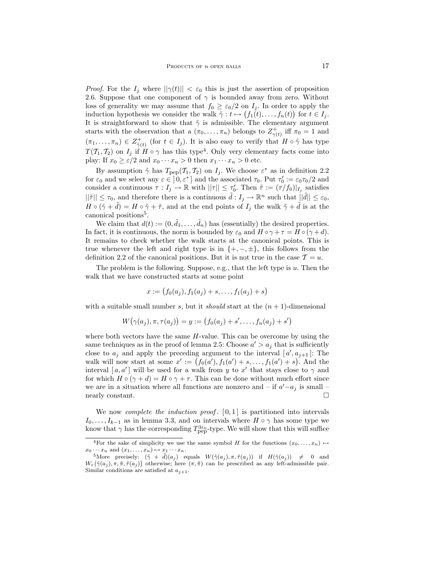*Proof.* For the  $I_j$  where  $||\gamma(t)|| < \varepsilon_0$  this is just the assertion of proposition 2.6. Suppose that one component of  $\gamma$  is bounded away from zero. Without loss of generality we may assume that  $f_0 \geq \varepsilon_0/2$  on  $I_j$ . In order to apply the induction hypothesis we consider the walk  $\tilde{\gamma}: t \mapsto (f_1(t), \ldots, f_n(t))$  for  $t \in I_j$ . It is straightforward to show that  $\tilde{\gamma}$  is admissible. The elementary argument starts with the observation that a  $(\pi_0, \ldots, \pi_n)$  belongs to  $Z^+_{\gamma(t)}$  iff  $\pi_0 = 1$  and  $(\pi_1,\ldots,\pi_n)\in Z^+_{\tilde{\gamma}(t)}$  (for  $t\in I_j$ ). It is also easy to verify that  $H\circ\tilde{\gamma}$  has type  $T(T_1, T_2)$  on  $I_j$  if  $H \circ \gamma$  has this type<sup>4</sup>. Only very elementary facts come into play: If  $x_0 \geq \varepsilon/2$  and  $x_0 \cdots x_n > 0$  then  $x_1 \cdots x_n > 0$  etc.

By assumption  $\tilde{\gamma}$  has  $T_{\text{pep}}(T_1, T_2)$  on  $I_j$ . We choose  $\varepsilon^*$  as in definition 2.2 for  $\varepsilon_0$  and we select any  $\varepsilon \in (0, \varepsilon^*]$  and the associated  $\tau_0$ . Put  $\tau'_0 := \varepsilon_0 \tau_0/2$  and consider a continuous  $\tau: I_j \to \mathbb{R}$  with  $||\tau|| \leq \tau_0'$ . Then  $\tilde{\tau} := (\tau/f_0)|_{I_j}$  satisfies  $||\tilde{\tau}|| \leq \tau_0$ , and therefore there is a continuous  $\tilde{d}: I_j \to \mathbb{R}^n$  such that  $||\tilde{d}|| \leq \varepsilon_0$ ,  $H \circ (\tilde{\gamma} + \tilde{d}) = H \circ \tilde{\gamma} + \tilde{\tau}$ , and at the end points of  $I_i$  the walk  $\tilde{\gamma} + \tilde{d}$  is at the canonical positions<sup>5</sup>.

We claim that  $d(t) := (0, \tilde{d}_1, \dots, \tilde{d}_n)$  has (essentially) the desired properties. In fact, it is continuous, the norm is bounded by  $\varepsilon_0$  and  $H \circ \gamma + \tau = H \circ (\gamma + d)$ . It remains to check whether the walk starts at the canonical points. This is true whenever the left and right type is in  $\{+,-,\pm\}$ , this follows from the definition 2.2 of the canonical positions. But it is not true in the case  $\mathcal{T} = u$ .

The problem is the following. Suppose, e.g., that the left type is  $u$ . Then the walk that we have constructed starts at some point

$$
x := (f_0(a_j), f_1(a_j) + s, \dots, f_1(a_j) + s)
$$

with a suitable small number s, but it should start at the  $(n + 1)$ -dimensional

$$
W(\gamma(a_j), \pi, \tau(a_j)) = y := (f_0(a_j) + s', \dots, f_n(a_j) + s')
$$

where both vectors have the same  $H$ -value. This can be overcome by using the same techniques as in the proof of lemma 2.5: Choose  $a' > a_j$  that is sufficiently close to  $a_j$  and apply the preceding argument to the interval  $[a', a_{j+1}]$ : The walk will now start at some  $x' := (f_0(a'), f_1(a') + s, \ldots, f_1(a') + s)$ . And the interval  $[a, a']$  will be used for a walk from y to x' that stays close to  $\gamma$  and for which  $H \circ (\gamma + d) = H \circ \gamma + \tau$ . This can be done without much effort since we are in a situation where all functions are nonzero and – if  $a'-a_j$  is small – nearly constant.

We now *complete the induction proof.*  $[0,1]$  is partitioned into intervals  $I_0, \ldots, I_{k-1}$  as in lemma 3.3, and on intervals where  $H \circ \gamma$  has some type we know that  $\gamma$  has the corresponding  $T^{3\varepsilon_{0}}_{\text{pep}}$ -type. We will show that this will suffice

<sup>&</sup>lt;sup>4</sup>For the sake of simplicity we use the same symbol H for the functions  $(x_0, \ldots, x_n) \mapsto$  $x_0 \cdots x_n$  and  $(x_1, \ldots, x_n) \mapsto x_1 \cdots x_n$ .

<sup>&</sup>lt;sup>5</sup>More precisely:  $(\tilde{\gamma} + \tilde{d})(a_j)$  equals  $W(\tilde{\gamma}(a_j), \pi, \tilde{\tau}(a_j))$  if  $H(\tilde{\gamma}(a_j)) \neq 0$  and  $W_{\varepsilon}(\tilde{\gamma}(a_j), \pi, \tilde{\pi}, \tilde{\tau}(a_j))$  otherwise; here  $(\pi, \tilde{\pi})$  can be prescribed as any left-admissible pair. Similar conditions are satisfied at  $a_{i+1}$ .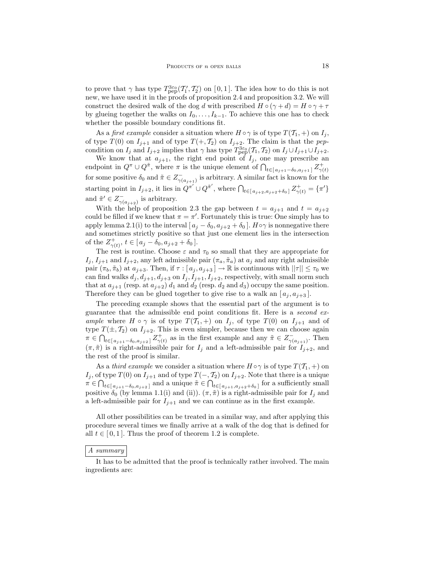to prove that  $\gamma$  has type  $T^{3\varepsilon_0}_{\text{pep}}(T'_1, T'_2)$  on [0,1]. The idea how to do this is not new, we have used it in the proofs of proposition 2.4 and proposition 3.2. We will construct the desired walk of the dog d with prescribed  $H \circ (\gamma + d) = H \circ \gamma + \tau$ by glueing together the walks on  $I_0, \ldots, I_{k-1}$ . To achieve this one has to check whether the possible boundary conditions fit.

As a *first example* consider a situation where  $H \circ \gamma$  is of type  $T(T_1, +)$  on  $I_i$ , of type  $T(0)$  on  $I_{j+1}$  and of type  $T(+, \mathcal{T}_2)$  on  $I_{j+2}$ . The claim is that the pepcondition on  $I_j$  and  $I_{j+2}$  implies that  $\gamma$  has type  $T^{3\varepsilon_0}_{\text{pep}}(T_1, T_2)$  on  $I_j \cup I_{j+1} \cup I_{j+2}$ .

We know that at  $a_{j+1}$ , the right end point of  $I_j$ , one may prescribe an endpoint in  $Q^{\pi} \cup Q^{\tilde{\pi}}$ , where  $\pi$  is the unique element of  $\bigcap_{t \in [a_{j+1}-\delta_0, a_{j+1}]} Z^+_{\gamma(t)}$ for some positive  $\delta_0$  and  $\tilde{\pi} \in Z_{\gamma(a_{j+1})}^-$  is arbitrary. A similar fact is known for the starting point in  $I_{j+2}$ , it lies in  $Q^{\pi'} \cup Q^{\tilde{\pi}'}$ , where  $\bigcap_{t \in [a_{j+2}, a_{j+2}+\delta_0]} Z^+_{\gamma(t)} = {\pi'}$ and  $\tilde{\pi}' \in Z_{\gamma(a_{j+2})}^{-}$  is arbitrary.

With the help of proposition 2.3 the gap between  $t = a_{i+1}$  and  $t = a_{i+2}$ could be filled if we knew that  $\pi = \pi'$ . Fortunately this is true: One simply has to apply lemma 2.1(i) to the interval  $[a_i - \delta_0, a_{i+2} + \delta_0]$ .  $H \circ \gamma$  is nonnegative there and sometimes strictly positive so that just one element lies in the intersection of the  $Z_{\gamma(t)}^+$ ,  $t \in [a_j - \delta_0, a_{j+2} + \delta_0].$ 

The rest is routine. Choose  $\varepsilon$  and  $\tau_0$  so small that they are appropriate for  $I_j, I_{j+1}$  and  $I_{j+2}$ , any left admissible pair  $(\pi_a, \tilde{\pi}_a)$  at  $a_j$  and any right admissible pair  $(\pi_b, \tilde{\pi}_b)$  at  $a_{j+3}$ . Then, if  $\tau : [a_j, a_{j+3}] \to \mathbb{R}$  is continuous with  $||\tau|| \leq \tau_0$  we can find walks  $d_j, d_{j+1}, d_{j+3}$  on  $I_j, I_{j+1}, I_{j+2}$ , respectively, with small norm such that at  $a_{i+1}$  (resp. at  $a_{i+2}$ )  $d_1$  and  $d_2$  (resp.  $d_2$  and  $d_3$ ) occupy the same position. Therefore they can be glued together to give rise to a walk an  $[a_i, a_{i+3}]$ .

The preceding example shows that the essential part of the argument is to guarantee that the admissible end point conditions fit. Here is a second example where  $H \circ \gamma$  is of type  $T(T_1, +)$  on  $I_j$ , of type  $T(0)$  on  $I_{j+1}$  and of type  $T(\pm, T_2)$  on  $I_{j+2}$ . This is even simpler, because then we can choose again  $\pi \in \bigcap_{t \in [a_{j+1}-\delta_0, a_{j+2}]} Z_{\gamma(t)}^+$  as in the first example and any  $\tilde{\pi} \in Z_{\gamma(a_{j+1})}^-$ . Then  $(\pi, \tilde{\pi})$  is a right-admissible pair for  $I_j$  and a left-admissible pair for  $I_{j+2}$ , and the rest of the proof is similar.

As a third example we consider a situation where  $H \circ \gamma$  is of type  $T(\mathcal{T}_1, +)$  on I<sub>j</sub>, of type  $T(0)$  on  $I_{j+1}$  and of type  $T(-, \mathcal{T}_2)$  on  $I_{j+2}$ . Note that there is a unique  $\pi \in \bigcap_{t \in [a_{j+1}-\delta_0, a_{j+2}]}$  and a unique  $\tilde{\pi} \in \bigcap_{t \in [a_{j+1}, a_{j+2}+\delta_0]}$  for a sufficiently small positive  $\delta_0$  (by lemma 1.1(i) and (ii)).  $(\pi, \tilde{\pi})$  is a right-admissible pair for  $I_j$  and a left-admissible pair for  $I_{j+1}$  and we can continue as in the first example.

All other possibilities can be treated in a similar way, and after applying this procedure several times we finally arrive at a walk of the dog that is defined for all  $t \in [0, 1]$ . Thus the proof of theorem 1.2 is complete.

#### A summary

It has to be admitted that the proof is technically rather involved. The main ingredients are: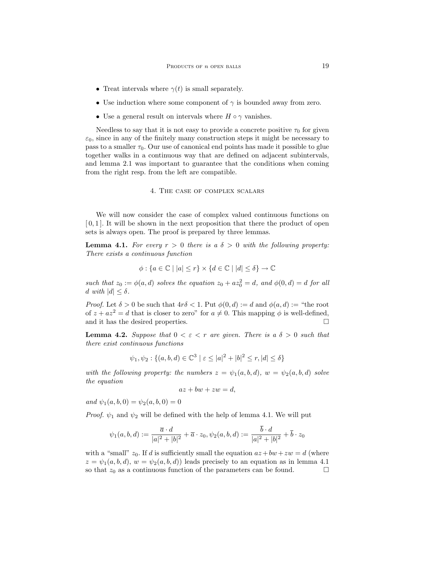- Treat intervals where  $\gamma(t)$  is small separately.
- Use induction where some component of  $\gamma$  is bounded away from zero.
- Use a general result on intervals where  $H \circ \gamma$  vanishes.

Needless to say that it is not easy to provide a concrete positive  $\tau_0$  for given  $\varepsilon_0$ , since in any of the finitely many construction steps it might be necessary to pass to a smaller  $\tau_0$ . Our use of canonical end points has made it possible to glue together walks in a continuous way that are defined on adjacent subintervals, and lemma 2.1 was important to guarantee that the conditions when coming from the right resp. from the left are compatible.

#### 4. The case of complex scalars

We will now consider the case of complex valued continuous functions on  $[0, 1]$ . It will be shown in the next proposition that there the product of open sets is always open. The proof is prepared by three lemmas.

**Lemma 4.1.** For every  $r > 0$  there is a  $\delta > 0$  with the following property: There exists a continuous function

$$
\phi: \{a \in \mathbb{C} \mid |a| \le r\} \times \{d \in \mathbb{C} \mid |d| \le \delta\} \to \mathbb{C}
$$

such that  $z_0 := \phi(a, d)$  solves the equation  $z_0 + az_0^2 = d$ , and  $\phi(0, d) = d$  for all d with  $|d| \leq \delta$ .

*Proof.* Let  $\delta > 0$  be such that  $4r\delta < 1$ . Put  $\phi(0, d) := d$  and  $\phi(a, d) :=$  "the root" of  $z + az^2 = d$  that is closer to zero" for  $a \neq 0$ . This mapping  $\phi$  is well-defined, and it has the desired properties.

**Lemma 4.2.** Suppose that  $0 < \varepsilon < r$  are given. There is a  $\delta > 0$  such that there exist continuous functions

$$
\psi_1, \psi_2 : \{(a, b, d) \in \mathbb{C}^3 \mid \varepsilon \le |a|^2 + |b|^2 \le r, |d| \le \delta\}
$$

with the following property: the numbers  $z = \psi_1(a, b, d)$ ,  $w = \psi_2(a, b, d)$  solve the equation

$$
az + bw + zw = d,
$$

and  $\psi_1(a, b, 0) = \psi_2(a, b, 0) = 0$ 

*Proof.*  $\psi_1$  and  $\psi_2$  will be defined with the help of lemma 4.1. We will put

$$
\psi_1(a,b,d):=\frac{\overline{a}\cdot d}{|a|^2+|b|^2}+\overline{a}\cdot z_0, \psi_2(a,b,d):=\frac{\overline{b}\cdot d}{|a|^2+|b|^2}+\overline{b}\cdot z_0
$$

with a "small"  $z_0$ . If d is sufficiently small the equation  $az + bw + zw = d$  (where  $z = \psi_1(a, b, d), w = \psi_2(a, b, d)$  leads precisely to an equation as in lemma 4.1 so that  $z_0$  as a continuous function of the parameters can be found.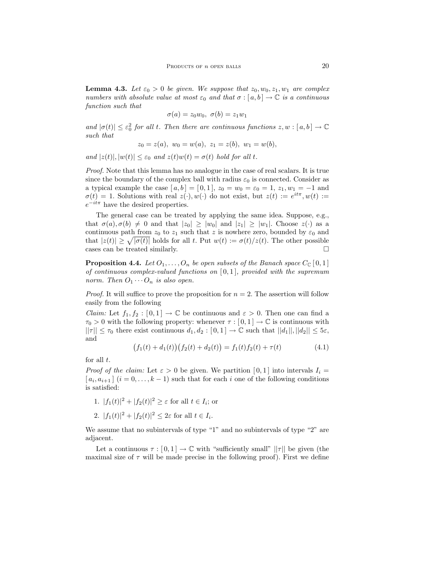**Lemma 4.3.** Let  $\varepsilon_0 > 0$  be given. We suppose that  $z_0, w_0, z_1, w_1$  are complex numbers with absolute value at most  $\varepsilon_0$  and that  $\sigma : [a, b] \to \mathbb{C}$  is a continuous function such that

$$
\sigma(a) = z_0 w_0, \ \sigma(b) = z_1 w_1
$$

and  $|\sigma(t)| \leq \varepsilon_0^2$  for all t. Then there are continuous functions  $z, w : [a, b] \to \mathbb{C}$ such that

$$
z_0 = z(a), w_0 = w(a), z_1 = z(b), w_1 = w(b),
$$

and  $|z(t)|, |w(t)| \leq \varepsilon_0$  and  $z(t)w(t) = \sigma(t)$  hold for all t.

Proof. Note that this lemma has no analogue in the case of real scalars. It is true since the boundary of the complex ball with radius  $\varepsilon_0$  is connected. Consider as a typical example the case  $[a, b] = [0, 1]$ ,  $z_0 = w_0 = \varepsilon_0 = 1$ ,  $z_1, w_1 = -1$  and  $\sigma(t) = 1$ . Solutions with real  $z(\cdot), w(\cdot)$  do not exist, but  $z(t) := e^{it\pi}, w(t) :=$  $e^{-it\pi}$  have the desired properties.

The general case can be treated by applying the same idea. Suppose, e.g., that  $\sigma(a), \sigma(b) \neq 0$  and that  $|z_0| \geq |w_0|$  and  $|z_1| \geq |w_1|$ . Choose  $z(\cdot)$  as a continuous path from  $z_0$  to  $z_1$  such that z is nowhere zero, bounded by  $\varepsilon_0$  and that  $|z(t)| \geq \sqrt{|\sigma(t)|}$  holds for all t. Put  $w(t) := \sigma(t)/z(t)$ . The other possible cases can be treated similarly.  $\Box$ 

**Proposition 4.4.** Let  $O_1, \ldots, O_n$  be open subsets of the Banach space  $C_{\mathbb{C}}[0,1]$ of continuous complex-valued functions on  $[0,1]$ , provided with the supremum norm. Then  $O_1 \cdots O_n$  is also open.

*Proof.* It will suffice to prove the proposition for  $n = 2$ . The assertion will follow easily from the following

*Claim:* Let  $f_1, f_2 : [0,1] \to \mathbb{C}$  be continuous and  $\varepsilon > 0$ . Then one can find a  $\tau_0 > 0$  with the following property: whenever  $\tau : [0,1] \to \mathbb{C}$  is continuous with  $||\tau|| \leq \tau_0$  there exist continuous  $d_1, d_2 : [0,1] \to \mathbb{C}$  such that  $||d_1||, ||d_2|| \leq 5\varepsilon$ , and

$$
(f_1(t) + d_1(t))(f_2(t) + d_2(t)) = f_1(t)f_2(t) + \tau(t)
$$
\n(4.1)

for all  $t$ .

*Proof of the claim:* Let  $\varepsilon > 0$  be given. We partition [0,1] into intervals  $I_i =$  $[a_i, a_{i+1}]$   $(i = 0, \ldots, k-1)$  such that for each i one of the following conditions is satisfied:

- 1.  $|f_1(t)|^2 + |f_2(t)|^2 \ge \varepsilon$  for all  $t \in I_i$ ; or
- 2.  $|f_1(t)|^2 + |f_2(t)|^2 \le 2\varepsilon$  for all  $t \in I_i$ .

We assume that no subintervals of type "1" and no subintervals of type "2" are adjacent.

Let a continuous  $\tau : [0,1] \to \mathbb{C}$  with "sufficiently small"  $||\tau||$  be given (the maximal size of  $\tau$  will be made precise in the following proof). First we define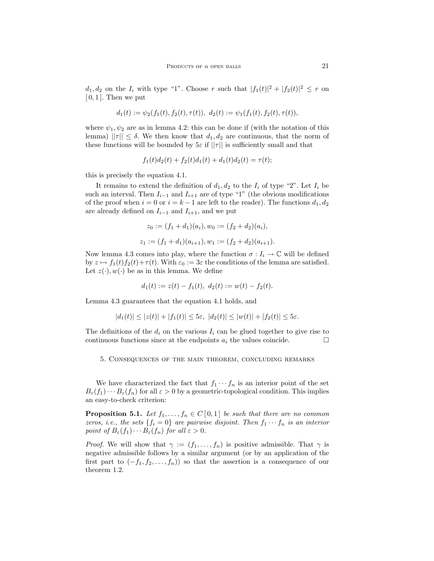$d_1, d_2$  on the  $I_i$  with type "1". Choose r such that  $|f_1(t)|^2 + |f_2(t)|^2 \le r$  on  $[0, 1]$ . Then we put

$$
d_1(t) := \psi_2(f_1(t), f_2(t), \tau(t)), \ d_2(t) := \psi_1(f_1(t), f_2(t), \tau(t)),
$$

where  $\psi_1, \psi_2$  are as in lemma 4.2: this can be done if (with the notation of this lemma)  $||\tau|| \leq \delta$ . We then know that  $d_1, d_2$  are continuous, that the norm of these functions will be bounded by  $5\varepsilon$  if  $||\tau||$  is sufficiently small and that

$$
f_1(t)d_2(t) + f_2(t)d_1(t) + d_1(t)d_2(t) = \tau(t);
$$

this is precisely the equation 4.1.

It remains to extend the definition of  $d_1, d_2$  to the  $I_i$  of type "2". Let  $I_i$  be such an interval. Then  $I_{i-1}$  and  $I_{i+1}$  are of type "1" (the obvious modifications of the proof when  $i = 0$  or  $i = k - 1$  are left to the reader). The functions  $d_1, d_2$ are already defined on  $I_{i-1}$  and  $I_{i+1}$ , and we put

$$
z_0 := (f_1 + d_1)(a_i), w_0 := (f_2 + d_2)(a_i),
$$
  

$$
z_1 := (f_1 + d_1)(a_{i+1}), w_1 := (f_2 + d_2)(a_{i+1}).
$$

Now lemma 4.3 comes into play, where the function  $\sigma: I_i \to \mathbb{C}$  will be defined by  $z \mapsto f_1(t)f_2(t)+\tau(t)$ . With  $\varepsilon_0 := 3\varepsilon$  the conditions of the lemma are satisfied. Let  $z(\cdot), w(\cdot)$  be as in this lemma. We define

$$
d_1(t) := z(t) - f_1(t), \ d_2(t) := w(t) - f_2(t).
$$

Lemma 4.3 guarantees that the equation 4.1 holds, and

$$
|d_1(t)| \le |z(t)| + |f_1(t)| \le 5\varepsilon, \ |d_2(t)| \le |w(t)| + |f_2(t)| \le 5\varepsilon.
$$

The definitions of the  $d_i$  on the various  $I_i$  can be glued together to give rise to continuous functions since at the endpoints  $a_i$  the values coincide.

# 5. Consequences of the main theorem, concluding remarks

We have characterized the fact that  $f_1 \cdots f_n$  is an interior point of the set  $B_{\varepsilon}(f_1)\cdots B_{\varepsilon}(f_n)$  for all  $\varepsilon > 0$  by a geometric-topological condition. This implies an easy-to-check criterion:

**Proposition 5.1.** Let  $f_1, \ldots, f_n \in C[0,1]$  be such that there are no common zeros, i.e., the sets  $\{f_i = 0\}$  are pairwise disjoint. Then  $f_1 \cdots f_n$  is an interior point of  $B_{\varepsilon}(f_1)\cdots B_{\varepsilon}(f_n)$  for all  $\varepsilon > 0$ .

*Proof.* We will show that  $\gamma := (f_1, \ldots, f_n)$  is positive admissible. That  $\gamma$  is negative admissible follows by a similar argument (or by an application of the first part to  $(-f_1, f_2, \ldots, f_n)$  so that the assertion is a consequence of our theorem 1.2.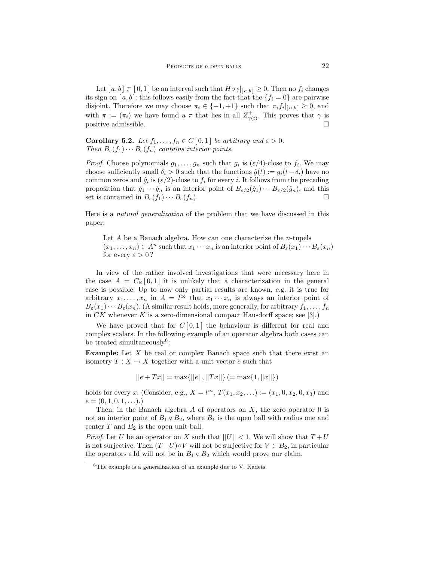Let  $[a, b] \subset [0, 1]$  be an interval such that  $H \circ \gamma|_{[a, b]} \geq 0$ . Then no  $f_i$  changes its sign on [a, b]: this follows easily from the fact that the  $\{f_i = 0\}$  are pairwise disjoint. Therefore we may choose  $\pi_i \in \{-1, +1\}$  such that  $\pi_i f_i|_{[a,b]} \geq 0$ , and with  $\pi := (\pi_i)$  we have found a  $\pi$  that lies in all  $Z^+_{\gamma(t)}$ . This proves that  $\gamma$  is positive admissible.  $\Box$ 

**Corollary 5.2.** Let  $f_1, \ldots, f_n \in C[0,1]$  be arbitrary and  $\varepsilon > 0$ . Then  $B_{\varepsilon}(f_1)\cdots B_{\varepsilon}(f_n)$  contains interior points.

*Proof.* Choose polynomials  $g_1, \ldots, g_n$  such that  $g_i$  is  $(\varepsilon/4)$ -close to  $f_i$ . We may choose sufficiently small  $\delta_i > 0$  such that the functions  $\hat{g}(t) := g_i(t - \delta_i)$  have no common zeros and  $\hat{g}_i$  is  $(\varepsilon/2)$ -close to  $f_i$  for every *i*. It follows from the preceding proposition that  $\hat{g}_1 \cdots \hat{g}_n$  is an interior point of  $B_{\varepsilon/2}(\hat{g}_1) \cdots B_{\varepsilon/2}(\hat{g}_n)$ , and this set is contained in  $B_{\varepsilon}(f_1)\cdots B_{\varepsilon}(f_n)$ .

Here is a natural generalization of the problem that we have discussed in this paper:

Let  $A$  be a Banach algebra. How can one characterize the *n*-tupels  $(x_1, \ldots, x_n) \in A^n$  such that  $x_1 \cdots x_n$  is an interior point of  $B_{\varepsilon}(x_1) \cdots B_{\varepsilon}(x_n)$ for every  $\varepsilon > 0$ ?

In view of the rather involved investigations that were necessary here in the case  $A = C_{\mathbb{R}}[0,1]$  it is unlikely that a characterization in the general case is possible. Up to now only partial results are known, e.g. it is true for arbitrary  $x_1, \ldots, x_n$  in  $A = l^{\infty}$  that  $x_1 \cdots x_n$  is always an interior point of  $B_{\varepsilon}(x_1)\cdots B_{\varepsilon}(x_n)$ . (A similar result holds, more generally, for arbitrary  $f_1, \ldots, f_n$ in  $CK$  whenever  $K$  is a zero-dimensional compact Hausdorff space; see [3].)

We have proved that for  $C[0,1]$  the behaviour is different for real and complex scalars. In the following example of an operator algebra both cases can be treated simultaneously<sup>6</sup>:

**Example:** Let  $X$  be real or complex Banach space such that there exist an isometry  $T: X \to X$  together with a unit vector e such that

$$
||e + Tx|| = \max{||e||, ||Tx||} (= \max{1, ||x||})
$$

holds for every x. (Consider, e.g.,  $X = l^{\infty}$ ,  $T(x_1, x_2, ...) := (x_1, 0, x_2, 0, x_3)$  and  $e = (0, 1, 0, 1, \ldots).$ 

Then, in the Banach algebra  $A$  of operators on  $X$ , the zero operator 0 is not an interior point of  $B_1 \circ B_2$ , where  $B_1$  is the open ball with radius one and center  $T$  and  $B_2$  is the open unit ball.

*Proof.* Let U be an operator on X such that  $||U|| < 1$ . We will show that  $T + U$ is not surjective. Then  $(T+U) \circ V$  will not be surjective for  $V \in B_2$ , in particular the operators  $\varepsilon$  Id will not be in  $B_1 \circ B_2$  which would prove our claim.

 ${}^{6}$ The example is a generalization of an example due to V. Kadets.